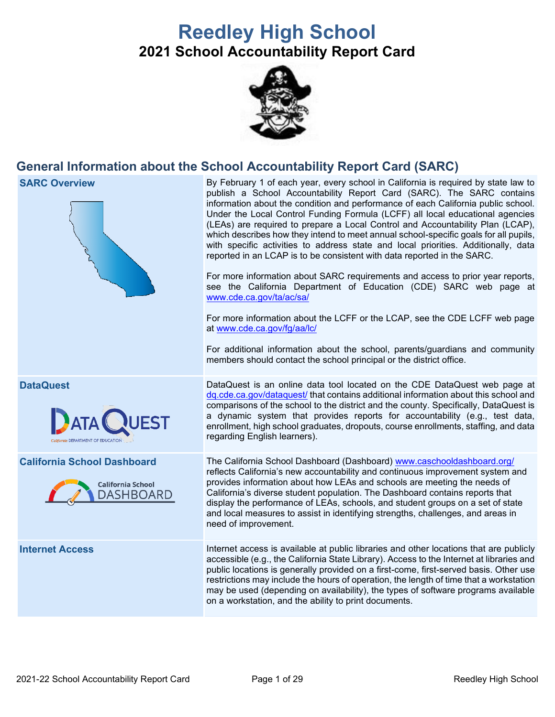# **Reedley High School 2021 School Accountability Report Card**



## **General Information about the School Accountability Report Card (SARC)**

**SARC Overview** By February 1 of each year, every school in California is required by state law to publish a School Accountability Report Card (SARC). The SARC contains information about the condition and performance of each California public school. Under the Local Control Funding Formula (LCFF) all local educational agencies (LEAs) are required to prepare a Local Control and Accountability Plan (LCAP), which describes how they intend to meet annual school-specific goals for all pupils, with specific activities to address state and local priorities. Additionally, data reported in an LCAP is to be consistent with data reported in the SARC. For more information about SARC requirements and access to prior year reports, see the California Department of Education (CDE) SARC web page at [www.cde.ca.gov/ta/ac/sa/](https://www.cde.ca.gov/ta/ac/sa/) For more information about the LCFF or the LCAP, see the CDE LCFF web page at [www.cde.ca.gov/fg/aa/lc/](https://www.cde.ca.gov/fg/aa/lc/) For additional information about the school, parents/guardians and community members should contact the school principal or the district office. **DataQuest** DataQuest is an online data tool located on the CDE DataQuest web page at [dq.cde.ca.gov/dataquest/](https://dq.cde.ca.gov/dataquest/) that contains additional information about this school and comparisons of the school to the district and the county. Specifically, DataQuest is a dynamic system that provides reports for accountability (e.g., test data, **ATA** enrollment, high school graduates, dropouts, course enrollments, staffing, and data regarding English learners). **California School Dashboard** The California School Dashboard (Dashboard) [www.caschooldashboard.org/](http://www.caschooldashboard.org/) reflects California's new accountability and continuous improvement system and provides information about how LEAs and schools are meeting the needs of **California School** California's diverse student population. The Dashboard contains reports that **DASHBOARD** display the performance of LEAs, schools, and student groups on a set of state and local measures to assist in identifying strengths, challenges, and areas in need of improvement. **Internet Access** Internet access is available at public libraries and other locations that are publicly accessible (e.g., the California State Library). Access to the Internet at libraries and public locations is generally provided on a first-come, first-served basis. Other use restrictions may include the hours of operation, the length of time that a workstation may be used (depending on availability), the types of software programs available on a workstation, and the ability to print documents.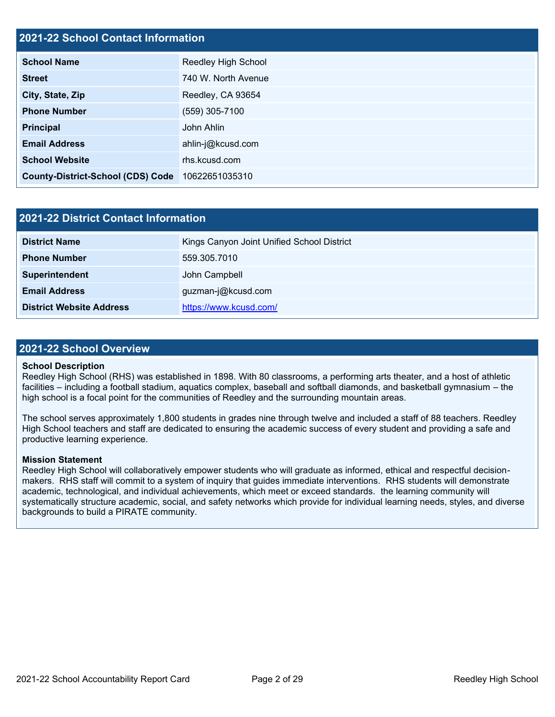#### **2021-22 School Contact Information**

| <b>School Name</b>                       | <b>Reedley High School</b> |  |
|------------------------------------------|----------------------------|--|
| <b>Street</b>                            | 740 W. North Avenue        |  |
| City, State, Zip                         | Reedley, CA 93654          |  |
| <b>Phone Number</b>                      | (559) 305-7100             |  |
| <b>Principal</b>                         | John Ahlin                 |  |
| <b>Email Address</b>                     | ahlin-j@kcusd.com          |  |
| <b>School Website</b>                    | rhs.kcusd.com              |  |
| <b>County-District-School (CDS) Code</b> | 10622651035310             |  |

| 2021-22 District Contact Information |                                            |  |
|--------------------------------------|--------------------------------------------|--|
| <b>District Name</b>                 | Kings Canyon Joint Unified School District |  |
| <b>Phone Number</b>                  | 559.305.7010                               |  |
| Superintendent                       | John Campbell                              |  |
| <b>Email Address</b>                 | guzman-j@kcusd.com                         |  |
| <b>District Website Address</b>      | https://www.kcusd.com/                     |  |

#### **2021-22 School Overview**

#### **School Description**

Reedley High School (RHS) was established in 1898. With 80 classrooms, a performing arts theater, and a host of athletic facilities – including a football stadium, aquatics complex, baseball and softball diamonds, and basketball gymnasium – the high school is a focal point for the communities of Reedley and the surrounding mountain areas.

The school serves approximately 1,800 students in grades nine through twelve and included a staff of 88 teachers. Reedley High School teachers and staff are dedicated to ensuring the academic success of every student and providing a safe and productive learning experience.

#### **Mission Statement**

Reedley High School will collaboratively empower students who will graduate as informed, ethical and respectful decisionmakers. RHS staff will commit to a system of inquiry that guides immediate interventions. RHS students will demonstrate academic, technological, and individual achievements, which meet or exceed standards. the learning community will systematically structure academic, social, and safety networks which provide for individual learning needs, styles, and diverse backgrounds to build a PIRATE community.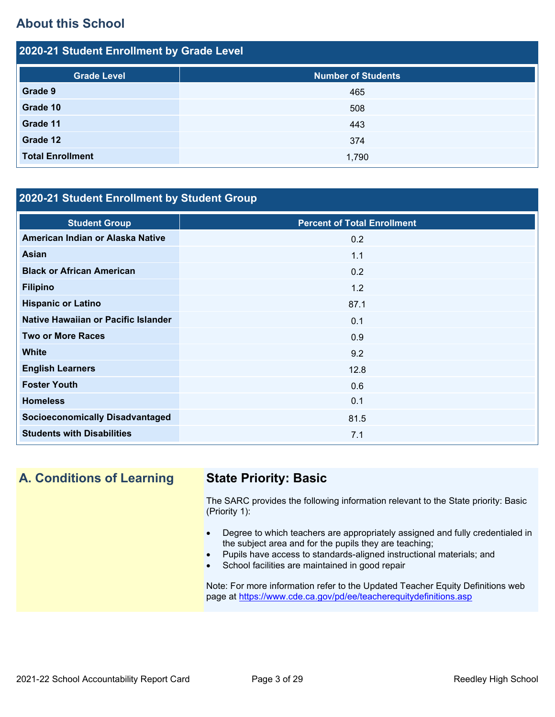## **About this School**

| 2020-21 Student Enrollment by Grade Level |                           |  |  |
|-------------------------------------------|---------------------------|--|--|
| <b>Grade Level</b>                        | <b>Number of Students</b> |  |  |
| Grade 9                                   | 465                       |  |  |
| Grade 10                                  | 508                       |  |  |
| Grade 11                                  | 443                       |  |  |
| Grade 12                                  | 374                       |  |  |
| <b>Total Enrollment</b>                   | 1,790                     |  |  |

### **2020-21 Student Enrollment by Student Group**

| <b>Student Group</b>                   | <b>Percent of Total Enrollment</b> |
|----------------------------------------|------------------------------------|
| American Indian or Alaska Native       | 0.2                                |
| <b>Asian</b>                           | 1.1                                |
| <b>Black or African American</b>       | 0.2                                |
| <b>Filipino</b>                        | 1.2                                |
| <b>Hispanic or Latino</b>              | 87.1                               |
| Native Hawaiian or Pacific Islander    | 0.1                                |
| <b>Two or More Races</b>               | 0.9                                |
| <b>White</b>                           | 9.2                                |
| <b>English Learners</b>                | 12.8                               |
| <b>Foster Youth</b>                    | 0.6                                |
| <b>Homeless</b>                        | 0.1                                |
| <b>Socioeconomically Disadvantaged</b> | 81.5                               |
| <b>Students with Disabilities</b>      | 7.1                                |

## **A. Conditions of Learning State Priority: Basic**

The SARC provides the following information relevant to the State priority: Basic (Priority 1):

- Degree to which teachers are appropriately assigned and fully credentialed in the subject area and for the pupils they are teaching;
- Pupils have access to standards-aligned instructional materials; and
- School facilities are maintained in good repair

Note: For more information refer to the Updated Teacher Equity Definitions web page at<https://www.cde.ca.gov/pd/ee/teacherequitydefinitions.asp>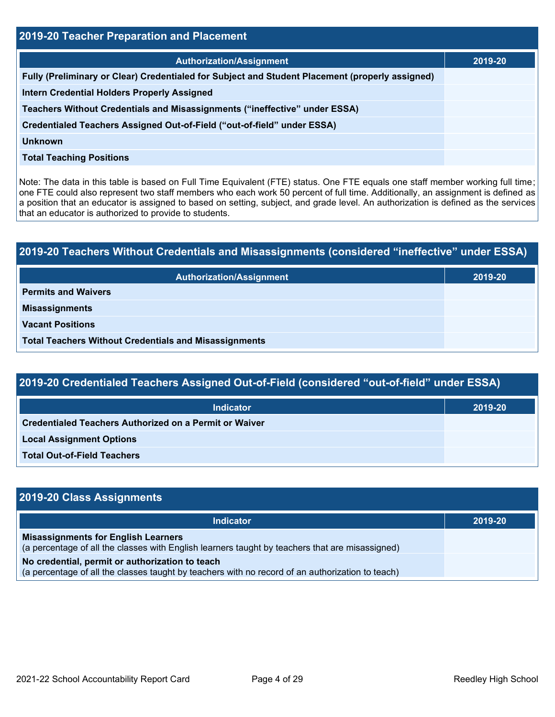| 2019-20 Teacher Preparation and Placement                                                       |         |  |  |
|-------------------------------------------------------------------------------------------------|---------|--|--|
| <b>Authorization/Assignment</b>                                                                 | 2019-20 |  |  |
| Fully (Preliminary or Clear) Credentialed for Subject and Student Placement (properly assigned) |         |  |  |
| <b>Intern Credential Holders Properly Assigned</b>                                              |         |  |  |
| Teachers Without Credentials and Misassignments ("ineffective" under ESSA)                      |         |  |  |
| Credentialed Teachers Assigned Out-of-Field ("out-of-field" under ESSA)                         |         |  |  |
| <b>Unknown</b>                                                                                  |         |  |  |
| <b>Total Teaching Positions</b>                                                                 |         |  |  |

Note: The data in this table is based on Full Time Equivalent (FTE) status. One FTE equals one staff member working full time; one FTE could also represent two staff members who each work 50 percent of full time. Additionally, an assignment is defined as a position that an educator is assigned to based on setting, subject, and grade level. An authorization is defined as the services that an educator is authorized to provide to students.

# **2019-20 Teachers Without Credentials and Misassignments (considered "ineffective" under ESSA) Authorization/Assignment 2019-20 Permits and Waivers Misassignments Vacant Positions Total Teachers Without Credentials and Misassignments**

| 2019-20 Credentialed Teachers Assigned Out-of-Field (considered "out-of-field" under ESSA) |         |  |  |
|--------------------------------------------------------------------------------------------|---------|--|--|
| <b>Indicator</b>                                                                           | 2019-20 |  |  |
| Credentialed Teachers Authorized on a Permit or Waiver                                     |         |  |  |
| <b>Local Assignment Options</b>                                                            |         |  |  |
| <b>Total Out-of-Field Teachers</b>                                                         |         |  |  |

| 2019-20 Class Assignments                                                                                                                           |         |
|-----------------------------------------------------------------------------------------------------------------------------------------------------|---------|
| <b>Indicator</b>                                                                                                                                    | 2019-20 |
| <b>Misassignments for English Learners</b><br>(a percentage of all the classes with English learners taught by teachers that are misassigned)       |         |
| No credential, permit or authorization to teach<br>(a percentage of all the classes taught by teachers with no record of an authorization to teach) |         |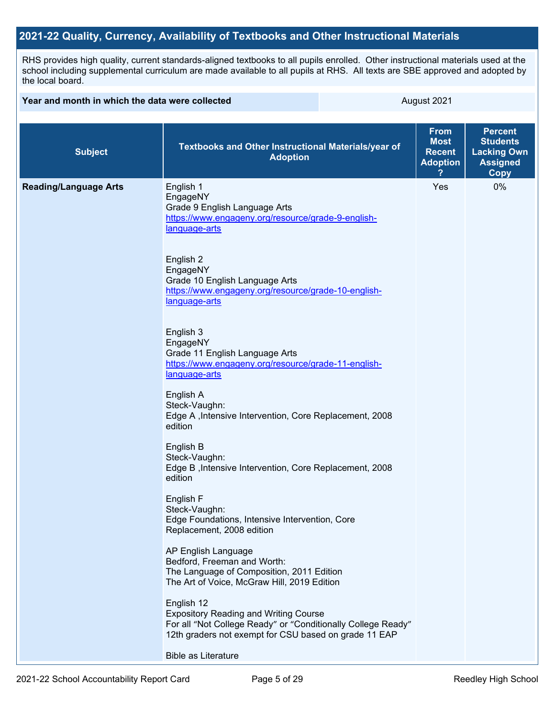### **2021-22 Quality, Currency, Availability of Textbooks and Other Instructional Materials**

RHS provides high quality, current standards-aligned textbooks to all pupils enrolled. Other instructional materials used at the school including supplemental curriculum are made available to all pupils at RHS. All texts are SBE approved and adopted by the local board.

| Year and month in which the data were collected |                                                                                                                                                                                     | August 2021                                                    |                                                                                           |
|-------------------------------------------------|-------------------------------------------------------------------------------------------------------------------------------------------------------------------------------------|----------------------------------------------------------------|-------------------------------------------------------------------------------------------|
| <b>Subject</b>                                  | Textbooks and Other Instructional Materials/year of<br><b>Adoption</b>                                                                                                              | <b>From</b><br><b>Most</b><br><b>Recent</b><br><b>Adoption</b> | <b>Percent</b><br><b>Students</b><br><b>Lacking Own</b><br><b>Assigned</b><br><b>Copy</b> |
| <b>Reading/Language Arts</b>                    | English 1<br>EngageNY<br>Grade 9 English Language Arts<br>https://www.engageny.org/resource/grade-9-english-<br>language-arts<br>English 2                                          | Yes                                                            | 0%                                                                                        |
|                                                 | EngageNY<br>Grade 10 English Language Arts<br>https://www.engageny.org/resource/grade-10-english-<br>language-arts                                                                  |                                                                |                                                                                           |
|                                                 | English 3<br>EngageNY<br>Grade 11 English Language Arts<br>https://www.engageny.org/resource/grade-11-english-<br>language-arts                                                     |                                                                |                                                                                           |
|                                                 | English A<br>Steck-Vaughn:<br>Edge A , Intensive Intervention, Core Replacement, 2008<br>edition                                                                                    |                                                                |                                                                                           |
|                                                 | English B<br>Steck-Vaughn:<br>Edge B, Intensive Intervention, Core Replacement, 2008<br>edition                                                                                     |                                                                |                                                                                           |
|                                                 | English F<br>Steck-Vaughn:<br>Edge Foundations, Intensive Intervention, Core<br>Replacement, 2008 edition                                                                           |                                                                |                                                                                           |
|                                                 | AP English Language<br>Bedford, Freeman and Worth:<br>The Language of Composition, 2011 Edition<br>The Art of Voice, McGraw Hill, 2019 Edition                                      |                                                                |                                                                                           |
|                                                 | English 12<br><b>Expository Reading and Writing Course</b><br>For all "Not College Ready" or "Conditionally College Ready"<br>12th graders not exempt for CSU based on grade 11 EAP |                                                                |                                                                                           |
|                                                 | <b>Bible as Literature</b>                                                                                                                                                          |                                                                |                                                                                           |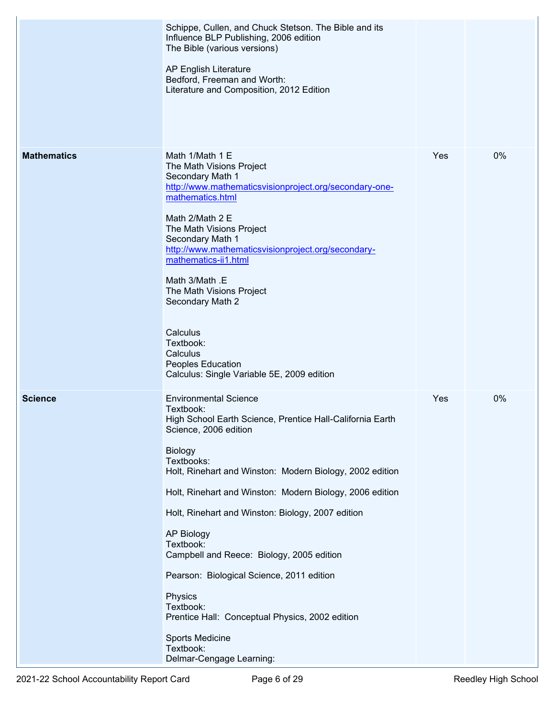|                    | Schippe, Cullen, and Chuck Stetson. The Bible and its<br>Influence BLP Publishing, 2006 edition<br>The Bible (various versions)<br>AP English Literature<br>Bedford, Freeman and Worth:<br>Literature and Composition, 2012 Edition                                                                                                                                                                                                                                                                                                                                                                             |     |    |
|--------------------|-----------------------------------------------------------------------------------------------------------------------------------------------------------------------------------------------------------------------------------------------------------------------------------------------------------------------------------------------------------------------------------------------------------------------------------------------------------------------------------------------------------------------------------------------------------------------------------------------------------------|-----|----|
| <b>Mathematics</b> | Math 1/Math 1 E<br>The Math Visions Project<br>Secondary Math 1<br>http://www.mathematicsvisionproject.org/secondary-one-<br>mathematics.html<br>Math 2/Math 2 E<br>The Math Visions Project<br>Secondary Math 1<br>http://www.mathematicsvisionproject.org/secondary-<br>mathematics-ii1.html<br>Math 3/Math .E<br>The Math Visions Project<br>Secondary Math 2<br>Calculus<br>Textbook:<br>Calculus<br>Peoples Education<br>Calculus: Single Variable 5E, 2009 edition                                                                                                                                        | Yes | 0% |
| <b>Science</b>     | <b>Environmental Science</b><br>Textbook:<br>High School Earth Science, Prentice Hall-California Earth<br>Science, 2006 edition<br><b>Biology</b><br>Textbooks:<br>Holt, Rinehart and Winston: Modern Biology, 2002 edition<br>Holt, Rinehart and Winston: Modern Biology, 2006 edition<br>Holt, Rinehart and Winston: Biology, 2007 edition<br><b>AP Biology</b><br>Textbook:<br>Campbell and Reece: Biology, 2005 edition<br>Pearson: Biological Science, 2011 edition<br>Physics<br>Textbook:<br>Prentice Hall: Conceptual Physics, 2002 edition<br>Sports Medicine<br>Textbook:<br>Delmar-Cengage Learning: | Yes | 0% |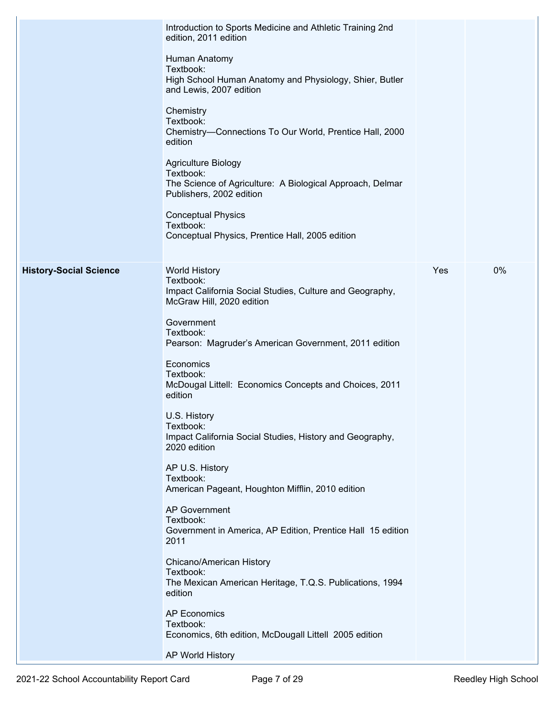|                               | Introduction to Sports Medicine and Athletic Training 2nd<br>edition, 2011 edition                                         |     |    |
|-------------------------------|----------------------------------------------------------------------------------------------------------------------------|-----|----|
|                               | Human Anatomy<br>Textbook:<br>High School Human Anatomy and Physiology, Shier, Butler<br>and Lewis, 2007 edition           |     |    |
|                               | Chemistry<br>Textbook:<br>Chemistry-Connections To Our World, Prentice Hall, 2000<br>edition                               |     |    |
|                               | Agriculture Biology<br>Textbook:<br>The Science of Agriculture: A Biological Approach, Delmar<br>Publishers, 2002 edition  |     |    |
|                               | <b>Conceptual Physics</b><br>Textbook:<br>Conceptual Physics, Prentice Hall, 2005 edition                                  |     |    |
| <b>History-Social Science</b> | <b>World History</b><br>Textbook:<br>Impact California Social Studies, Culture and Geography,<br>McGraw Hill, 2020 edition | Yes | 0% |
|                               | Government<br>Textbook:<br>Pearson: Magruder's American Government, 2011 edition                                           |     |    |
|                               | Economics<br>Textbook:<br>McDougal Littell: Economics Concepts and Choices, 2011<br>edition                                |     |    |
|                               | U.S. History<br>Textbook:<br>Impact California Social Studies, History and Geography,<br>2020 edition                      |     |    |
|                               | AP U.S. History<br>Textbook:<br>American Pageant, Houghton Mifflin, 2010 edition                                           |     |    |
|                               | <b>AP Government</b><br>Textbook:<br>Government in America, AP Edition, Prentice Hall 15 edition<br>2011                   |     |    |
|                               | Chicano/American History<br>Textbook:<br>The Mexican American Heritage, T.Q.S. Publications, 1994<br>edition               |     |    |
|                               | <b>AP Economics</b><br>Textbook:<br>Economics, 6th edition, McDougall Littell 2005 edition                                 |     |    |
|                               | AP World History                                                                                                           |     |    |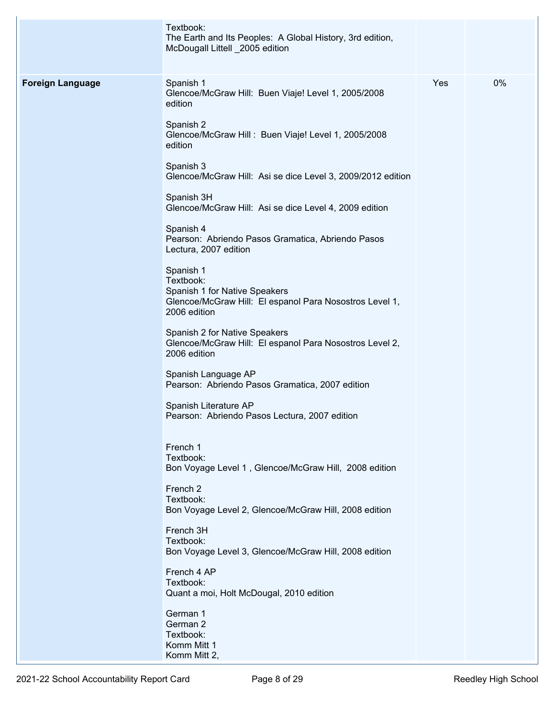|                         | Textbook:<br>The Earth and Its Peoples: A Global History, 3rd edition,<br>McDougall Littell _2005 edition                          |     |    |
|-------------------------|------------------------------------------------------------------------------------------------------------------------------------|-----|----|
| <b>Foreign Language</b> | Spanish 1<br>Glencoe/McGraw Hill: Buen Viaje! Level 1, 2005/2008<br>edition<br>Spanish 2                                           | Yes | 0% |
|                         | Glencoe/McGraw Hill: Buen Viaje! Level 1, 2005/2008<br>edition<br>Spanish 3                                                        |     |    |
|                         | Glencoe/McGraw Hill: Asi se dice Level 3, 2009/2012 edition<br>Spanish 3H                                                          |     |    |
|                         | Glencoe/McGraw Hill: Asi se dice Level 4, 2009 edition<br>Spanish 4                                                                |     |    |
|                         | Pearson: Abriendo Pasos Gramatica, Abriendo Pasos<br>Lectura, 2007 edition                                                         |     |    |
|                         | Spanish 1<br>Textbook:<br>Spanish 1 for Native Speakers<br>Glencoe/McGraw Hill: El espanol Para Nosostros Level 1,<br>2006 edition |     |    |
|                         | Spanish 2 for Native Speakers<br>Glencoe/McGraw Hill: El espanol Para Nosostros Level 2,<br>2006 edition                           |     |    |
|                         | Spanish Language AP<br>Pearson: Abriendo Pasos Gramatica, 2007 edition                                                             |     |    |
|                         | Spanish Literature AP<br>Pearson: Abriendo Pasos Lectura, 2007 edition                                                             |     |    |
|                         | French 1<br>Textbook:<br>Bon Voyage Level 1, Glencoe/McGraw Hill, 2008 edition                                                     |     |    |
|                         | French <sub>2</sub><br>Textbook:<br>Bon Voyage Level 2, Glencoe/McGraw Hill, 2008 edition                                          |     |    |
|                         | French 3H<br>Textbook:<br>Bon Voyage Level 3, Glencoe/McGraw Hill, 2008 edition                                                    |     |    |
|                         | French 4 AP<br>Textbook:<br>Quant a moi, Holt McDougal, 2010 edition                                                               |     |    |
|                         | German 1<br>German 2<br>Textbook:<br>Komm Mitt 1                                                                                   |     |    |
|                         | Komm Mitt 2,                                                                                                                       |     |    |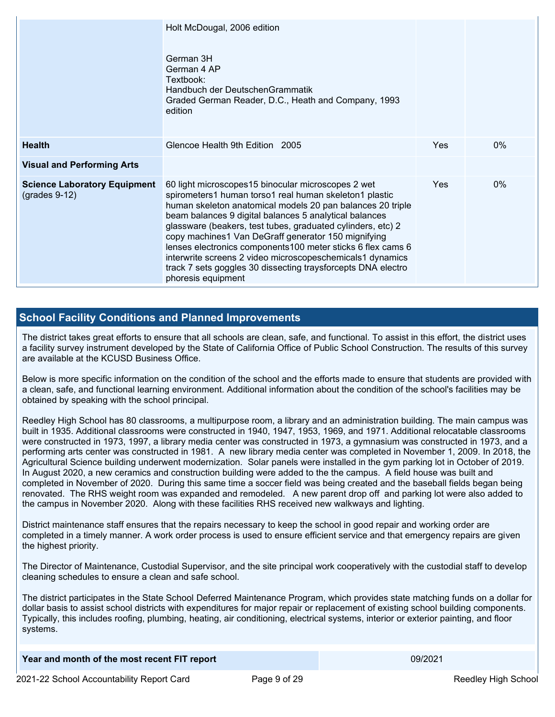|                                                        | Holt McDougal, 2006 edition<br>German 3H<br>German 4 AP<br>Textbook:<br>Handbuch der DeutschenGrammatik<br>Graded German Reader, D.C., Heath and Company, 1993<br>edition                                                                                                                                                                                                                                                                                                                                                                                                     |            |       |
|--------------------------------------------------------|-------------------------------------------------------------------------------------------------------------------------------------------------------------------------------------------------------------------------------------------------------------------------------------------------------------------------------------------------------------------------------------------------------------------------------------------------------------------------------------------------------------------------------------------------------------------------------|------------|-------|
| <b>Health</b>                                          | Glencoe Health 9th Edition 2005                                                                                                                                                                                                                                                                                                                                                                                                                                                                                                                                               | <b>Yes</b> | $0\%$ |
| <b>Visual and Performing Arts</b>                      |                                                                                                                                                                                                                                                                                                                                                                                                                                                                                                                                                                               |            |       |
| <b>Science Laboratory Equipment</b><br>$(grades 9-12)$ | 60 light microscopes15 binocular microscopes 2 wet<br>spirometers1 human torso1 real human skeleton1 plastic<br>human skeleton anatomical models 20 pan balances 20 triple<br>beam balances 9 digital balances 5 analytical balances<br>glassware (beakers, test tubes, graduated cylinders, etc) 2<br>copy machines1 Van DeGraff generator 150 mignifying<br>lenses electronics components 100 meter sticks 6 flex cams 6<br>interwrite screens 2 video microscopeschemicals1 dynamics<br>track 7 sets goggles 30 dissecting traysforcepts DNA electro<br>phoresis equipment | <b>Yes</b> | $0\%$ |

#### **School Facility Conditions and Planned Improvements**

The district takes great efforts to ensure that all schools are clean, safe, and functional. To assist in this effort, the district uses a facility survey instrument developed by the State of California Office of Public School Construction. The results of this survey are available at the KCUSD Business Office.

Below is more specific information on the condition of the school and the efforts made to ensure that students are provided with a clean, safe, and functional learning environment. Additional information about the condition of the school's facilities may be obtained by speaking with the school principal.

Reedley High School has 80 classrooms, a multipurpose room, a library and an administration building. The main campus was built in 1935. Additional classrooms were constructed in 1940, 1947, 1953, 1969, and 1971. Additional relocatable classrooms were constructed in 1973, 1997, a library media center was constructed in 1973, a gymnasium was constructed in 1973, and a performing arts center was constructed in 1981. A new library media center was completed in November 1, 2009. In 2018, the Agricultural Science building underwent modernization. Solar panels were installed in the gym parking lot in October of 2019. In August 2020, a new ceramics and construction building were added to the the campus. A field house was built and completed in November of 2020. During this same time a soccer field was being created and the baseball fields began being renovated. The RHS weight room was expanded and remodeled. A new parent drop off and parking lot were also added to the campus in November 2020. Along with these facilities RHS received new walkways and lighting.

District maintenance staff ensures that the repairs necessary to keep the school in good repair and working order are completed in a timely manner. A work order process is used to ensure efficient service and that emergency repairs are given the highest priority.

The Director of Maintenance, Custodial Supervisor, and the site principal work cooperatively with the custodial staff to develop cleaning schedules to ensure a clean and safe school.

The district participates in the State School Deferred Maintenance Program, which provides state matching funds on a dollar for dollar basis to assist school districts with expenditures for major repair or replacement of existing school building components. Typically, this includes roofing, plumbing, heating, air conditioning, electrical systems, interior or exterior painting, and floor systems.

| Year and month of the most recent FIT report | 09/2021 |
|----------------------------------------------|---------|
| .                                            |         |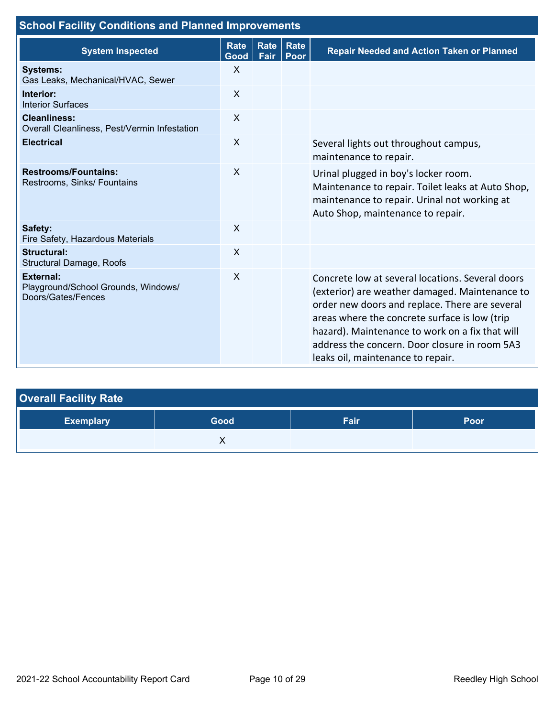| <b>School Facility Conditions and Planned Improvements</b>                    |                     |                     |                     |                                                                                                                                                                                                                                                                                                                                                |  |  |  |  |
|-------------------------------------------------------------------------------|---------------------|---------------------|---------------------|------------------------------------------------------------------------------------------------------------------------------------------------------------------------------------------------------------------------------------------------------------------------------------------------------------------------------------------------|--|--|--|--|
| <b>System Inspected</b>                                                       | <b>Rate</b><br>Good | <b>Rate</b><br>Fair | <b>Rate</b><br>Poor | <b>Repair Needed and Action Taken or Planned</b>                                                                                                                                                                                                                                                                                               |  |  |  |  |
| <b>Systems:</b><br>Gas Leaks, Mechanical/HVAC, Sewer                          | $\mathsf{X}$        |                     |                     |                                                                                                                                                                                                                                                                                                                                                |  |  |  |  |
| Interior:<br><b>Interior Surfaces</b>                                         | X                   |                     |                     |                                                                                                                                                                                                                                                                                                                                                |  |  |  |  |
| <b>Cleanliness:</b><br>Overall Cleanliness, Pest/Vermin Infestation           | X                   |                     |                     |                                                                                                                                                                                                                                                                                                                                                |  |  |  |  |
| <b>Electrical</b>                                                             | X                   |                     |                     | Several lights out throughout campus,<br>maintenance to repair.                                                                                                                                                                                                                                                                                |  |  |  |  |
| <b>Restrooms/Fountains:</b><br>Restrooms, Sinks/ Fountains                    | X                   |                     |                     | Urinal plugged in boy's locker room.<br>Maintenance to repair. Toilet leaks at Auto Shop,<br>maintenance to repair. Urinal not working at<br>Auto Shop, maintenance to repair.                                                                                                                                                                 |  |  |  |  |
| Safety:<br>Fire Safety, Hazardous Materials                                   | X                   |                     |                     |                                                                                                                                                                                                                                                                                                                                                |  |  |  |  |
| <b>Structural:</b><br><b>Structural Damage, Roofs</b>                         | $\sf X$             |                     |                     |                                                                                                                                                                                                                                                                                                                                                |  |  |  |  |
| <b>External:</b><br>Playground/School Grounds, Windows/<br>Doors/Gates/Fences | $\mathsf{X}$        |                     |                     | Concrete low at several locations. Several doors<br>(exterior) are weather damaged. Maintenance to<br>order new doors and replace. There are several<br>areas where the concrete surface is low (trip<br>hazard). Maintenance to work on a fix that will<br>address the concern. Door closure in room 5A3<br>leaks oil, maintenance to repair. |  |  |  |  |

| <b>Overall Facility Rate</b> |      |      |      |
|------------------------------|------|------|------|
| <b>Exemplary</b>             | Good | Fair | Poor |
|                              |      |      |      |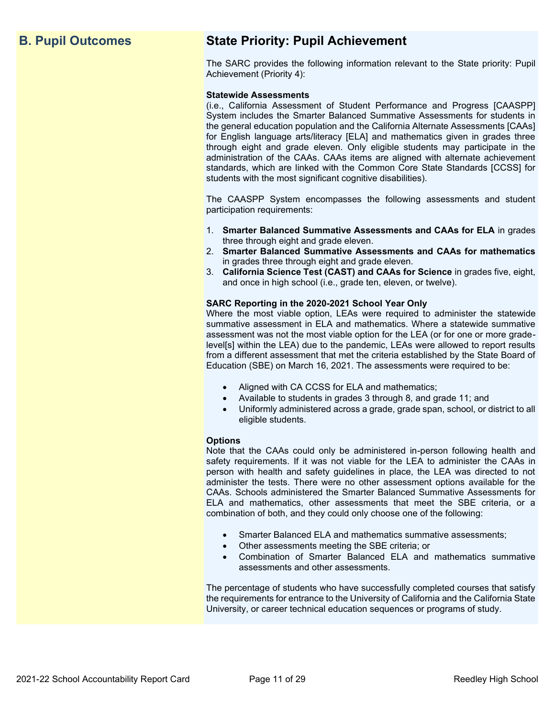## **B. Pupil Outcomes State Priority: Pupil Achievement**

The SARC provides the following information relevant to the State priority: Pupil Achievement (Priority 4):

#### **Statewide Assessments**

(i.e., California Assessment of Student Performance and Progress [CAASPP] System includes the Smarter Balanced Summative Assessments for students in the general education population and the California Alternate Assessments [CAAs] for English language arts/literacy [ELA] and mathematics given in grades three through eight and grade eleven. Only eligible students may participate in the administration of the CAAs. CAAs items are aligned with alternate achievement standards, which are linked with the Common Core State Standards [CCSS] for students with the most significant cognitive disabilities).

The CAASPP System encompasses the following assessments and student participation requirements:

- 1. **Smarter Balanced Summative Assessments and CAAs for ELA** in grades three through eight and grade eleven.
- 2. **Smarter Balanced Summative Assessments and CAAs for mathematics** in grades three through eight and grade eleven.
- 3. **California Science Test (CAST) and CAAs for Science** in grades five, eight, and once in high school (i.e., grade ten, eleven, or twelve).

#### **SARC Reporting in the 2020-2021 School Year Only**

Where the most viable option, LEAs were required to administer the statewide summative assessment in ELA and mathematics. Where a statewide summative assessment was not the most viable option for the LEA (or for one or more gradelevel[s] within the LEA) due to the pandemic, LEAs were allowed to report results from a different assessment that met the criteria established by the State Board of Education (SBE) on March 16, 2021. The assessments were required to be:

- Aligned with CA CCSS for ELA and mathematics;
- Available to students in grades 3 through 8, and grade 11; and
- Uniformly administered across a grade, grade span, school, or district to all eligible students.

#### **Options**

Note that the CAAs could only be administered in-person following health and safety requirements. If it was not viable for the LEA to administer the CAAs in person with health and safety guidelines in place, the LEA was directed to not administer the tests. There were no other assessment options available for the CAAs. Schools administered the Smarter Balanced Summative Assessments for ELA and mathematics, other assessments that meet the SBE criteria, or a combination of both, and they could only choose one of the following:

- Smarter Balanced ELA and mathematics summative assessments;
- Other assessments meeting the SBE criteria; or
- Combination of Smarter Balanced ELA and mathematics summative assessments and other assessments.

The percentage of students who have successfully completed courses that satisfy the requirements for entrance to the University of California and the California State University, or career technical education sequences or programs of study.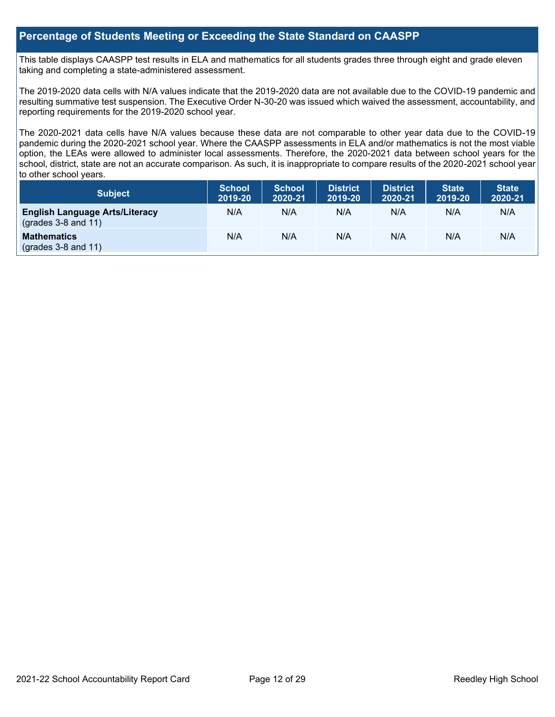#### **Percentage of Students Meeting or Exceeding the State Standard on CAASPP**

This table displays CAASPP test results in ELA and mathematics for all students grades three through eight and grade eleven taking and completing a state-administered assessment.

The 2019-2020 data cells with N/A values indicate that the 2019-2020 data are not available due to the COVID-19 pandemic and resulting summative test suspension. The Executive Order N-30-20 was issued which waived the assessment, accountability, and reporting requirements for the 2019-2020 school year.

The 2020-2021 data cells have N/A values because these data are not comparable to other year data due to the COVID-19 pandemic during the 2020-2021 school year. Where the CAASPP assessments in ELA and/or mathematics is not the most viable option, the LEAs were allowed to administer local assessments. Therefore, the 2020-2021 data between school years for the school, district, state are not an accurate comparison. As such, it is inappropriate to compare results of the 2020-2021 school year to other school years.

| Subject                                                              | <b>School</b><br>2019-20 | <b>School</b><br>2020-21 | <b>District</b><br>2019-20 | <b>District</b><br>2020-21 | <b>State</b><br>2019-20 | <b>State</b><br>2020-21 |
|----------------------------------------------------------------------|--------------------------|--------------------------|----------------------------|----------------------------|-------------------------|-------------------------|
| <b>English Language Arts/Literacy</b><br>$\left($ grades 3-8 and 11) | N/A                      | N/A                      | N/A                        | N/A                        | N/A                     | N/A                     |
| <b>Mathematics</b><br>$(grades 3-8 and 11)$                          | N/A                      | N/A                      | N/A                        | N/A                        | N/A                     | N/A                     |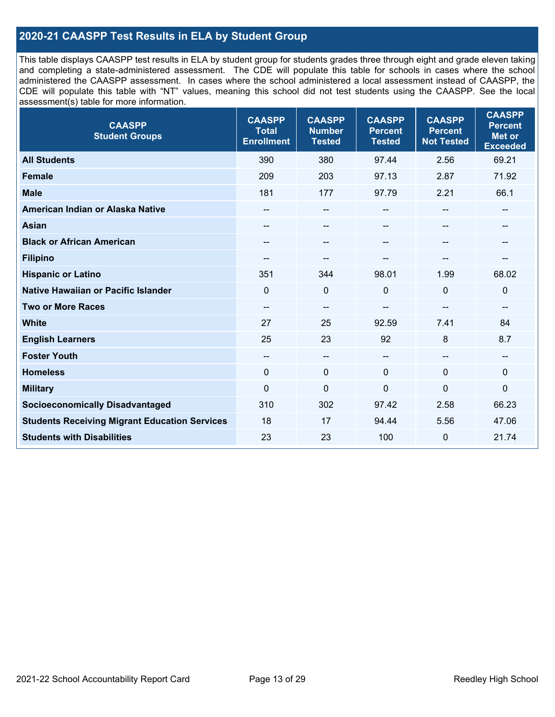#### **2020-21 CAASPP Test Results in ELA by Student Group**

This table displays CAASPP test results in ELA by student group for students grades three through eight and grade eleven taking and completing a state-administered assessment. The CDE will populate this table for schools in cases where the school administered the CAASPP assessment. In cases where the school administered a local assessment instead of CAASPP, the CDE will populate this table with "NT" values, meaning this school did not test students using the CAASPP. See the local assessment(s) table for more information.

| <b>CAASPP</b><br><b>Student Groups</b>               | <b>CAASPP</b><br><b>Total</b><br><b>Enrollment</b> | <b>CAASPP</b><br><b>Number</b><br><b>Tested</b> | <b>CAASPP</b><br><b>Percent</b><br><b>Tested</b> | <b>CAASPP</b><br><b>Percent</b><br><b>Not Tested</b> | <b>CAASPP</b><br><b>Percent</b><br><b>Met or</b><br><b>Exceeded</b> |
|------------------------------------------------------|----------------------------------------------------|-------------------------------------------------|--------------------------------------------------|------------------------------------------------------|---------------------------------------------------------------------|
| <b>All Students</b>                                  | 390                                                | 380                                             | 97.44                                            | 2.56                                                 | 69.21                                                               |
| <b>Female</b>                                        | 209                                                | 203                                             | 97.13                                            | 2.87                                                 | 71.92                                                               |
| <b>Male</b>                                          | 181                                                | 177                                             | 97.79                                            | 2.21                                                 | 66.1                                                                |
| American Indian or Alaska Native                     | $\qquad \qquad -$                                  | $\overline{\phantom{a}}$                        | --                                               | $-$                                                  | --                                                                  |
| <b>Asian</b>                                         |                                                    | $\qquad \qquad -$                               |                                                  |                                                      | --                                                                  |
| <b>Black or African American</b>                     | $\qquad \qquad -$                                  | $\overline{\phantom{m}}$                        | --                                               | $\sim$                                               | --                                                                  |
| <b>Filipino</b>                                      | --                                                 | --                                              | --                                               | --                                                   | --                                                                  |
| <b>Hispanic or Latino</b>                            | 351                                                | 344                                             | 98.01                                            | 1.99                                                 | 68.02                                                               |
| Native Hawaiian or Pacific Islander                  | $\mathbf 0$                                        | $\mathbf 0$                                     | $\Omega$                                         | $\mathbf{0}$                                         | $\mathbf 0$                                                         |
| <b>Two or More Races</b>                             | --                                                 | $\overline{\phantom{a}}$                        | --                                               | --                                                   | --                                                                  |
| <b>White</b>                                         | 27                                                 | 25                                              | 92.59                                            | 7.41                                                 | 84                                                                  |
| <b>English Learners</b>                              | 25                                                 | 23                                              | 92                                               | 8                                                    | 8.7                                                                 |
| <b>Foster Youth</b>                                  | --                                                 | $\overline{\phantom{a}}$                        | $-$                                              | --                                                   | --                                                                  |
| <b>Homeless</b>                                      | $\Omega$                                           | $\mathbf 0$                                     | $\mathbf{0}$                                     | $\mathbf{0}$                                         | $\mathbf 0$                                                         |
| <b>Military</b>                                      | $\mathbf 0$                                        | $\pmb{0}$                                       | 0                                                | 0                                                    | 0                                                                   |
| <b>Socioeconomically Disadvantaged</b>               | 310                                                | 302                                             | 97.42                                            | 2.58                                                 | 66.23                                                               |
| <b>Students Receiving Migrant Education Services</b> | 18                                                 | 17                                              | 94.44                                            | 5.56                                                 | 47.06                                                               |
| <b>Students with Disabilities</b>                    | 23                                                 | 23                                              | 100                                              | 0                                                    | 21.74                                                               |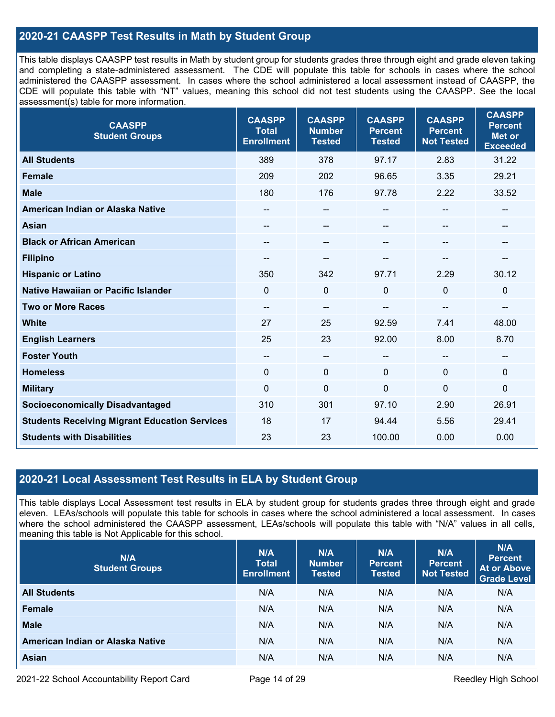#### **2020-21 CAASPP Test Results in Math by Student Group**

This table displays CAASPP test results in Math by student group for students grades three through eight and grade eleven taking and completing a state-administered assessment. The CDE will populate this table for schools in cases where the school administered the CAASPP assessment. In cases where the school administered a local assessment instead of CAASPP, the CDE will populate this table with "NT" values, meaning this school did not test students using the CAASPP. See the local assessment(s) table for more information.

| <b>CAASPP</b><br><b>Student Groups</b>               | <b>CAASPP</b><br><b>Total</b><br><b>Enrollment</b> | <b>CAASPP</b><br><b>Number</b><br><b>Tested</b> | <b>CAASPP</b><br><b>Percent</b><br><b>Tested</b> | <b>CAASPP</b><br><b>Percent</b><br><b>Not Tested</b> | <b>CAASPP</b><br><b>Percent</b><br><b>Met or</b><br><b>Exceeded</b> |
|------------------------------------------------------|----------------------------------------------------|-------------------------------------------------|--------------------------------------------------|------------------------------------------------------|---------------------------------------------------------------------|
| <b>All Students</b>                                  | 389                                                | 378                                             | 97.17                                            | 2.83                                                 | 31.22                                                               |
| <b>Female</b>                                        | 209                                                | 202                                             | 96.65                                            | 3.35                                                 | 29.21                                                               |
| <b>Male</b>                                          | 180                                                | 176                                             | 97.78                                            | 2.22                                                 | 33.52                                                               |
| American Indian or Alaska Native                     | $\qquad \qquad -$                                  | $\qquad \qquad -$                               | --                                               | $\overline{\phantom{a}}$                             | $\hspace{0.05cm}$                                                   |
| <b>Asian</b>                                         | $- -$                                              | --                                              | --                                               | --                                                   | $\sim$                                                              |
| <b>Black or African American</b>                     | --                                                 | --                                              | --                                               |                                                      | --                                                                  |
| <b>Filipino</b>                                      | --                                                 | --                                              |                                                  |                                                      |                                                                     |
| <b>Hispanic or Latino</b>                            | 350                                                | 342                                             | 97.71                                            | 2.29                                                 | 30.12                                                               |
| Native Hawaiian or Pacific Islander                  | $\Omega$                                           | 0                                               | $\mathbf 0$                                      | $\overline{0}$                                       | $\mathbf 0$                                                         |
| <b>Two or More Races</b>                             | $\qquad \qquad -$                                  | --                                              | --                                               | --                                                   | $\overline{\phantom{a}}$                                            |
| <b>White</b>                                         | 27                                                 | 25                                              | 92.59                                            | 7.41                                                 | 48.00                                                               |
| <b>English Learners</b>                              | 25                                                 | 23                                              | 92.00                                            | 8.00                                                 | 8.70                                                                |
| <b>Foster Youth</b>                                  | $\qquad \qquad -$                                  | --                                              | --                                               | --                                                   | --                                                                  |
| <b>Homeless</b>                                      | $\mathbf 0$                                        | 0                                               | $\mathbf 0$                                      | $\Omega$                                             | $\mathbf 0$                                                         |
| <b>Military</b>                                      | $\mathbf{0}$                                       | 0                                               | $\mathbf 0$                                      | $\mathbf{0}$                                         | 0                                                                   |
| <b>Socioeconomically Disadvantaged</b>               | 310                                                | 301                                             | 97.10                                            | 2.90                                                 | 26.91                                                               |
| <b>Students Receiving Migrant Education Services</b> | 18                                                 | 17                                              | 94.44                                            | 5.56                                                 | 29.41                                                               |
| <b>Students with Disabilities</b>                    | 23                                                 | 23                                              | 100.00                                           | 0.00                                                 | 0.00                                                                |

#### **2020-21 Local Assessment Test Results in ELA by Student Group**

This table displays Local Assessment test results in ELA by student group for students grades three through eight and grade eleven. LEAs/schools will populate this table for schools in cases where the school administered a local assessment. In cases where the school administered the CAASPP assessment, LEAs/schools will populate this table with "N/A" values in all cells, meaning this table is Not Applicable for this school.

| N/A<br><b>Student Groups</b>     | N/A<br><b>Total</b><br><b>Enrollment</b> | N/A<br><b>Number</b><br><b>Tested</b> | N/A<br><b>Percent</b><br><b>Tested</b> | N/A<br>Percent<br><b>Not Tested</b> | N/A<br><b>Percent</b><br><b>At or Above</b><br><b>Grade Level</b> |
|----------------------------------|------------------------------------------|---------------------------------------|----------------------------------------|-------------------------------------|-------------------------------------------------------------------|
| <b>All Students</b>              | N/A                                      | N/A                                   | N/A                                    | N/A                                 | N/A                                                               |
| Female                           | N/A                                      | N/A                                   | N/A                                    | N/A                                 | N/A                                                               |
| <b>Male</b>                      | N/A                                      | N/A                                   | N/A                                    | N/A                                 | N/A                                                               |
| American Indian or Alaska Native | N/A                                      | N/A                                   | N/A                                    | N/A                                 | N/A                                                               |
| <b>Asian</b>                     | N/A                                      | N/A                                   | N/A                                    | N/A                                 | N/A                                                               |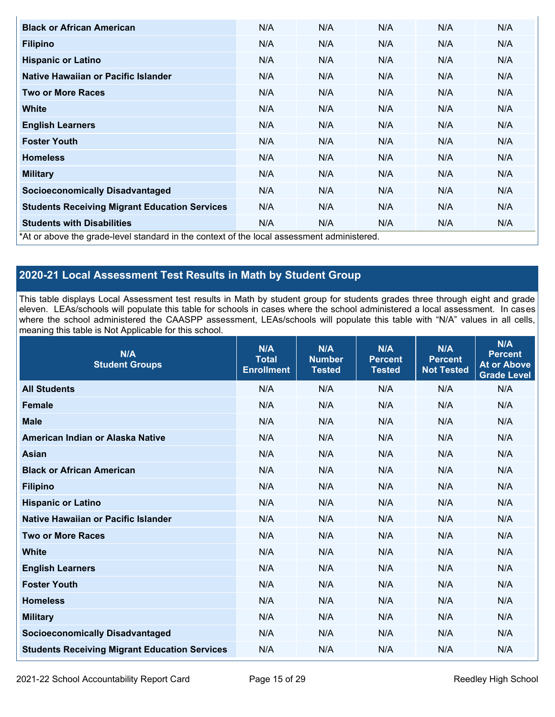| <b>Black or African American</b>                                                           | N/A | N/A | N/A | N/A | N/A |
|--------------------------------------------------------------------------------------------|-----|-----|-----|-----|-----|
| <b>Filipino</b>                                                                            | N/A | N/A | N/A | N/A | N/A |
| <b>Hispanic or Latino</b>                                                                  | N/A | N/A | N/A | N/A | N/A |
| Native Hawaiian or Pacific Islander                                                        | N/A | N/A | N/A | N/A | N/A |
| <b>Two or More Races</b>                                                                   | N/A | N/A | N/A | N/A | N/A |
| <b>White</b>                                                                               | N/A | N/A | N/A | N/A | N/A |
| <b>English Learners</b>                                                                    | N/A | N/A | N/A | N/A | N/A |
| <b>Foster Youth</b>                                                                        | N/A | N/A | N/A | N/A | N/A |
| <b>Homeless</b>                                                                            | N/A | N/A | N/A | N/A | N/A |
| <b>Military</b>                                                                            | N/A | N/A | N/A | N/A | N/A |
| <b>Socioeconomically Disadvantaged</b>                                                     | N/A | N/A | N/A | N/A | N/A |
| <b>Students Receiving Migrant Education Services</b>                                       | N/A | N/A | N/A | N/A | N/A |
| <b>Students with Disabilities</b>                                                          | N/A | N/A | N/A | N/A | N/A |
| *At or above the grade-level standard in the context of the local assessment administered. |     |     |     |     |     |

### **2020-21 Local Assessment Test Results in Math by Student Group**

This table displays Local Assessment test results in Math by student group for students grades three through eight and grade eleven. LEAs/schools will populate this table for schools in cases where the school administered a local assessment. In cases where the school administered the CAASPP assessment, LEAs/schools will populate this table with "N/A" values in all cells, meaning this table is Not Applicable for this school.

| N/A<br><b>Student Groups</b>                         | N/A<br><b>Total</b><br><b>Enrollment</b> | N/A<br><b>Number</b><br><b>Tested</b> | N/A<br><b>Percent</b><br><b>Tested</b> | N/A<br><b>Percent</b><br><b>Not Tested</b> | N/A<br><b>Percent</b><br><b>At or Above</b><br><b>Grade Level</b> |
|------------------------------------------------------|------------------------------------------|---------------------------------------|----------------------------------------|--------------------------------------------|-------------------------------------------------------------------|
| <b>All Students</b>                                  | N/A                                      | N/A                                   | N/A                                    | N/A                                        | N/A                                                               |
| <b>Female</b>                                        | N/A                                      | N/A                                   | N/A                                    | N/A                                        | N/A                                                               |
| <b>Male</b>                                          | N/A                                      | N/A                                   | N/A                                    | N/A                                        | N/A                                                               |
| American Indian or Alaska Native                     | N/A                                      | N/A                                   | N/A                                    | N/A                                        | N/A                                                               |
| <b>Asian</b>                                         | N/A                                      | N/A                                   | N/A                                    | N/A                                        | N/A                                                               |
| <b>Black or African American</b>                     | N/A                                      | N/A                                   | N/A                                    | N/A                                        | N/A                                                               |
| <b>Filipino</b>                                      | N/A                                      | N/A                                   | N/A                                    | N/A                                        | N/A                                                               |
| <b>Hispanic or Latino</b>                            | N/A                                      | N/A                                   | N/A                                    | N/A                                        | N/A                                                               |
| Native Hawaiian or Pacific Islander                  | N/A                                      | N/A                                   | N/A                                    | N/A                                        | N/A                                                               |
| <b>Two or More Races</b>                             | N/A                                      | N/A                                   | N/A                                    | N/A                                        | N/A                                                               |
| <b>White</b>                                         | N/A                                      | N/A                                   | N/A                                    | N/A                                        | N/A                                                               |
| <b>English Learners</b>                              | N/A                                      | N/A                                   | N/A                                    | N/A                                        | N/A                                                               |
| <b>Foster Youth</b>                                  | N/A                                      | N/A                                   | N/A                                    | N/A                                        | N/A                                                               |
| <b>Homeless</b>                                      | N/A                                      | N/A                                   | N/A                                    | N/A                                        | N/A                                                               |
| <b>Military</b>                                      | N/A                                      | N/A                                   | N/A                                    | N/A                                        | N/A                                                               |
| <b>Socioeconomically Disadvantaged</b>               | N/A                                      | N/A                                   | N/A                                    | N/A                                        | N/A                                                               |
| <b>Students Receiving Migrant Education Services</b> | N/A                                      | N/A                                   | N/A                                    | N/A                                        | N/A                                                               |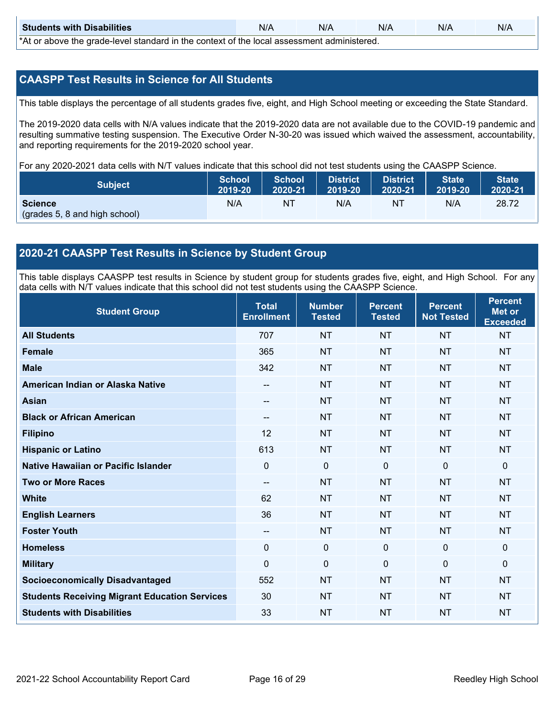| <b>Students with Disabilities</b>                                                           | N/A | N/A | N/A | N/A | N/A |  |
|---------------------------------------------------------------------------------------------|-----|-----|-----|-----|-----|--|
| *At as above the escale level standard in the context of the local accordinate admissioned. |     |     |     |     |     |  |

\*At or above the grade-level standard in the context of the local assessment administered.

#### **CAASPP Test Results in Science for All Students**

This table displays the percentage of all students grades five, eight, and High School meeting or exceeding the State Standard.

The 2019-2020 data cells with N/A values indicate that the 2019-2020 data are not available due to the COVID-19 pandemic and resulting summative testing suspension. The Executive Order N-30-20 was issued which waived the assessment, accountability, and reporting requirements for the 2019-2020 school year.

For any 2020-2021 data cells with N/T values indicate that this school did not test students using the CAASPP Science.

| <b>Subject</b>                                  | <b>School</b> | <b>School</b> | <b>District</b> | District | <b>State</b> | <b>State</b> |
|-------------------------------------------------|---------------|---------------|-----------------|----------|--------------|--------------|
|                                                 | 2019-20       | 2020-21       | 2019-20         | 2020-21  | 2019-20      | 2020-21      |
| <b>Science</b><br>(grades 5, 8 and high school) | N/A           | ΝT            | N/A             | NT       | N/A          | 28.72        |

#### **2020-21 CAASPP Test Results in Science by Student Group**

This table displays CAASPP test results in Science by student group for students grades five, eight, and High School. For any data cells with N/T values indicate that this school did not test students using the CAASPP Science.

| <b>Student Group</b>                                 | <b>Total</b><br><b>Enrollment</b> | <b>Number</b><br><b>Tested</b> | <b>Percent</b><br><b>Tested</b> | <b>Percent</b><br><b>Not Tested</b> | <b>Percent</b><br><b>Met or</b><br><b>Exceeded</b> |
|------------------------------------------------------|-----------------------------------|--------------------------------|---------------------------------|-------------------------------------|----------------------------------------------------|
| <b>All Students</b>                                  | 707                               | <b>NT</b>                      | <b>NT</b>                       | <b>NT</b>                           | <b>NT</b>                                          |
| <b>Female</b>                                        | 365                               | <b>NT</b>                      | <b>NT</b>                       | <b>NT</b>                           | <b>NT</b>                                          |
| <b>Male</b>                                          | 342                               | <b>NT</b>                      | <b>NT</b>                       | <b>NT</b>                           | <b>NT</b>                                          |
| American Indian or Alaska Native                     | $\sim$                            | <b>NT</b>                      | <b>NT</b>                       | <b>NT</b>                           | <b>NT</b>                                          |
| <b>Asian</b>                                         | --                                | <b>NT</b>                      | <b>NT</b>                       | <b>NT</b>                           | <b>NT</b>                                          |
| <b>Black or African American</b>                     | --                                | <b>NT</b>                      | <b>NT</b>                       | <b>NT</b>                           | <b>NT</b>                                          |
| <b>Filipino</b>                                      | 12                                | <b>NT</b>                      | <b>NT</b>                       | <b>NT</b>                           | <b>NT</b>                                          |
| <b>Hispanic or Latino</b>                            | 613                               | <b>NT</b>                      | <b>NT</b>                       | <b>NT</b>                           | <b>NT</b>                                          |
| Native Hawaiian or Pacific Islander                  | 0                                 | $\mathbf 0$                    | $\mathbf{0}$                    | $\overline{0}$                      | $\mathbf 0$                                        |
| <b>Two or More Races</b>                             | --                                | <b>NT</b>                      | <b>NT</b>                       | <b>NT</b>                           | <b>NT</b>                                          |
| <b>White</b>                                         | 62                                | <b>NT</b>                      | <b>NT</b>                       | <b>NT</b>                           | <b>NT</b>                                          |
| <b>English Learners</b>                              | 36                                | <b>NT</b>                      | <b>NT</b>                       | <b>NT</b>                           | <b>NT</b>                                          |
| <b>Foster Youth</b>                                  | --                                | <b>NT</b>                      | <b>NT</b>                       | <b>NT</b>                           | <b>NT</b>                                          |
| <b>Homeless</b>                                      | 0                                 | $\mathbf 0$                    | $\mathbf 0$                     | 0                                   | $\mathbf 0$                                        |
| <b>Military</b>                                      | $\Omega$                          | 0                              | $\mathbf{0}$                    | $\Omega$                            | $\mathbf 0$                                        |
| <b>Socioeconomically Disadvantaged</b>               | 552                               | <b>NT</b>                      | <b>NT</b>                       | <b>NT</b>                           | <b>NT</b>                                          |
| <b>Students Receiving Migrant Education Services</b> | 30                                | <b>NT</b>                      | <b>NT</b>                       | <b>NT</b>                           | <b>NT</b>                                          |
| <b>Students with Disabilities</b>                    | 33                                | <b>NT</b>                      | <b>NT</b>                       | <b>NT</b>                           | <b>NT</b>                                          |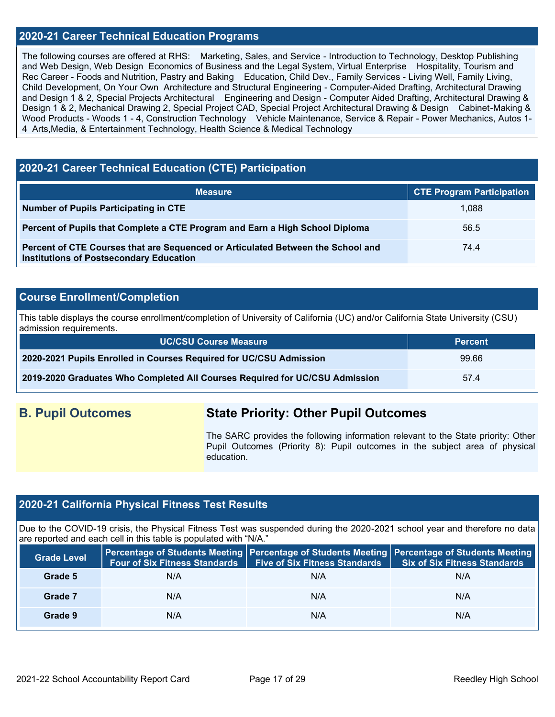#### **2020-21 Career Technical Education Programs**

The following courses are offered at RHS: Marketing, Sales, and Service - Introduction to Technology, Desktop Publishing and Web Design, Web Design Economics of Business and the Legal System, Virtual Enterprise Hospitality, Tourism and Rec Career - Foods and Nutrition, Pastry and Baking Education, Child Dev., Family Services - Living Well, Family Living, Child Development, On Your Own Architecture and Structural Engineering - Computer-Aided Drafting, Architectural Drawing and Design 1 & 2, Special Projects Architectural Engineering and Design - Computer Aided Drafting, Architectural Drawing & Design 1 & 2, Mechanical Drawing 2, Special Project CAD, Special Project Architectural Drawing & Design Cabinet-Making & Wood Products - Woods 1 - 4, Construction Technology Vehicle Maintenance, Service & Repair - Power Mechanics, Autos 1- 4 Arts, Media, & Entertainment Technology, Health Science & Medical Technology

#### **2020-21 Career Technical Education (CTE) Participation**

| <b>Measure</b>                                                                                                                    | <b>CTE Program Participation</b> |
|-----------------------------------------------------------------------------------------------------------------------------------|----------------------------------|
| Number of Pupils Participating in CTE                                                                                             | 1.088                            |
| Percent of Pupils that Complete a CTE Program and Earn a High School Diploma                                                      | 56.5                             |
| Percent of CTE Courses that are Sequenced or Articulated Between the School and<br><b>Institutions of Postsecondary Education</b> | 74.4                             |

#### **Course Enrollment/Completion**

This table displays the course enrollment/completion of University of California (UC) and/or California State University (CSU) admission requirements.

| UC/CSU Course Measure                                                       | <b>Percent</b> |
|-----------------------------------------------------------------------------|----------------|
| 2020-2021 Pupils Enrolled in Courses Required for UC/CSU Admission          | 99.66          |
| 2019-2020 Graduates Who Completed All Courses Required for UC/CSU Admission | 57.4           |

### **B. Pupil Outcomes State Priority: Other Pupil Outcomes**

The SARC provides the following information relevant to the State priority: Other Pupil Outcomes (Priority 8): Pupil outcomes in the subject area of physical education.

#### **2020-21 California Physical Fitness Test Results**

Due to the COVID-19 crisis, the Physical Fitness Test was suspended during the 2020-2021 school year and therefore no data are reported and each cell in this table is populated with "N/A."

| <b>Grade Level</b> | <b>Four of Six Fitness Standards</b> | <b>Five of Six Fitness Standards</b> | Percentage of Students Meeting   Percentage of Students Meeting   Percentage of Students Meeting<br><b>Six of Six Fitness Standards</b> |
|--------------------|--------------------------------------|--------------------------------------|-----------------------------------------------------------------------------------------------------------------------------------------|
| Grade 5            | N/A                                  | N/A                                  | N/A                                                                                                                                     |
| Grade 7            | N/A                                  | N/A                                  | N/A                                                                                                                                     |
| Grade 9            | N/A                                  | N/A                                  | N/A                                                                                                                                     |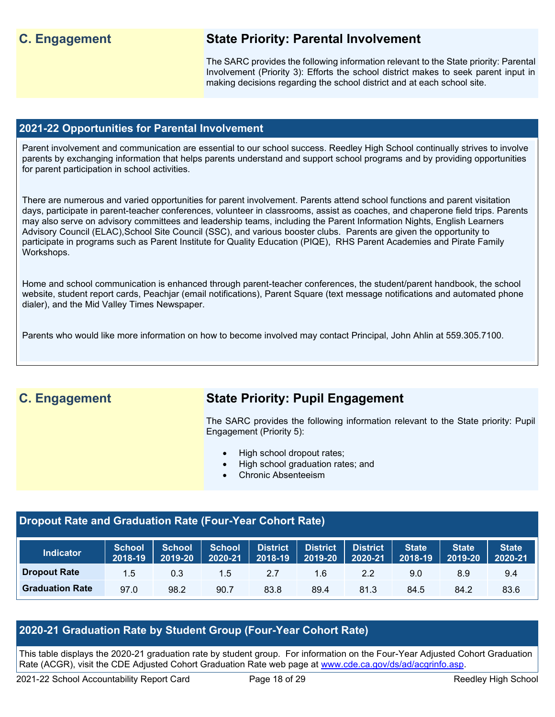### **C. Engagement State Priority: Parental Involvement**

The SARC provides the following information relevant to the State priority: Parental Involvement (Priority 3): Efforts the school district makes to seek parent input in making decisions regarding the school district and at each school site.

#### **2021-22 Opportunities for Parental Involvement**

Parent involvement and communication are essential to our school success. Reedley High School continually strives to involve parents by exchanging information that helps parents understand and support school programs and by providing opportunities for parent participation in school activities.

There are numerous and varied opportunities for parent involvement. Parents attend school functions and parent visitation days, participate in parent-teacher conferences, volunteer in classrooms, assist as coaches, and chaperone field trips. Parents may also serve on advisory committees and leadership teams, including the Parent Information Nights, English Learners Advisory Council (ELAC),School Site Council (SSC), and various booster clubs. Parents are given the opportunity to participate in programs such as Parent Institute for Quality Education (PIQE), RHS Parent Academies and Pirate Family Workshops.

Home and school communication is enhanced through parent-teacher conferences, the student/parent handbook, the school website, student report cards, Peachjar (email notifications), Parent Square (text message notifications and automated phone dialer), and the Mid Valley Times Newspaper.

Parents who would like more information on how to become involved may contact Principal, John Ahlin at 559.305.7100.

## **C. Engagement State Priority: Pupil Engagement**

The SARC provides the following information relevant to the State priority: Pupil Engagement (Priority 5):

- High school dropout rates;
- High school graduation rates; and
- Chronic Absenteeism

### **Dropout Rate and Graduation Rate (Four-Year Cohort Rate)**

| <b>Indicator</b>       | <b>School</b><br>12018-19 | <b>School</b><br>2019-20 | <b>School</b><br>2020-21 | <b>District</b><br>2018-19 | District<br>2019-20 | <b>District</b><br>2020-21 | State<br>2018-19 | <b>State</b><br>2019-20 | <b>State</b><br>$2020 - 21$ |
|------------------------|---------------------------|--------------------------|--------------------------|----------------------------|---------------------|----------------------------|------------------|-------------------------|-----------------------------|
| <b>Dropout Rate</b>    | 1.5                       | 0.3                      | 1.5                      | 2.1                        | 1.6                 | 2.2                        | 9.0              | 8.9                     | 9.4                         |
| <b>Graduation Rate</b> | 97.0                      | 98.2                     | 90.7                     | 83.8                       | 89.4                | 81.3                       | 84.5             | 84.2                    | 83.6                        |

#### **2020-21 Graduation Rate by Student Group (Four-Year Cohort Rate)**

This table displays the 2020-21 graduation rate by student group. For information on the Four-Year Adjusted Cohort Graduation Rate (ACGR), visit the CDE Adjusted Cohort Graduation Rate web page at [www.cde.ca.gov/ds/ad/acgrinfo.asp.](http://www.cde.ca.gov/ds/ad/acgrinfo.asp)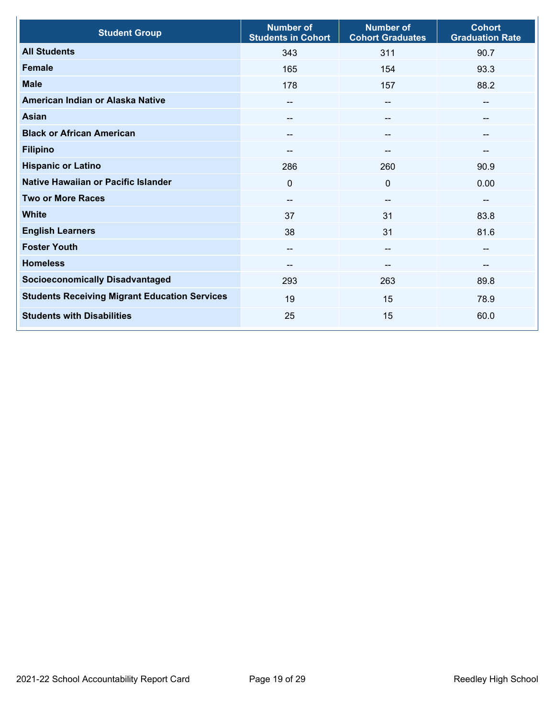| <b>Student Group</b>                                 | <b>Number of</b><br><b>Students in Cohort</b> | <b>Number of</b><br><b>Cohort Graduates</b> | <b>Cohort</b><br><b>Graduation Rate</b> |
|------------------------------------------------------|-----------------------------------------------|---------------------------------------------|-----------------------------------------|
| <b>All Students</b>                                  | 343                                           | 311                                         | 90.7                                    |
| <b>Female</b>                                        | 165                                           | 154                                         | 93.3                                    |
| <b>Male</b>                                          | 178                                           | 157                                         | 88.2                                    |
| American Indian or Alaska Native                     | --                                            | $\hspace{0.05cm}$ – $\hspace{0.05cm}$       | --                                      |
| <b>Asian</b>                                         | --                                            | --                                          | --                                      |
| <b>Black or African American</b>                     |                                               | --                                          | --                                      |
| <b>Filipino</b>                                      | --                                            | --                                          | --                                      |
| <b>Hispanic or Latino</b>                            | 286                                           | 260                                         | 90.9                                    |
| Native Hawaiian or Pacific Islander                  | $\mathbf 0$                                   | $\mathbf 0$                                 | 0.00                                    |
| <b>Two or More Races</b>                             | --                                            | --                                          | --                                      |
| <b>White</b>                                         | 37                                            | 31                                          | 83.8                                    |
| <b>English Learners</b>                              | 38                                            | 31                                          | 81.6                                    |
| <b>Foster Youth</b>                                  | --                                            | --                                          | --                                      |
| <b>Homeless</b>                                      | --                                            | --                                          | --                                      |
| <b>Socioeconomically Disadvantaged</b>               | 293                                           | 263                                         | 89.8                                    |
| <b>Students Receiving Migrant Education Services</b> | 19                                            | 15                                          | 78.9                                    |
| <b>Students with Disabilities</b>                    | 25                                            | 15                                          | 60.0                                    |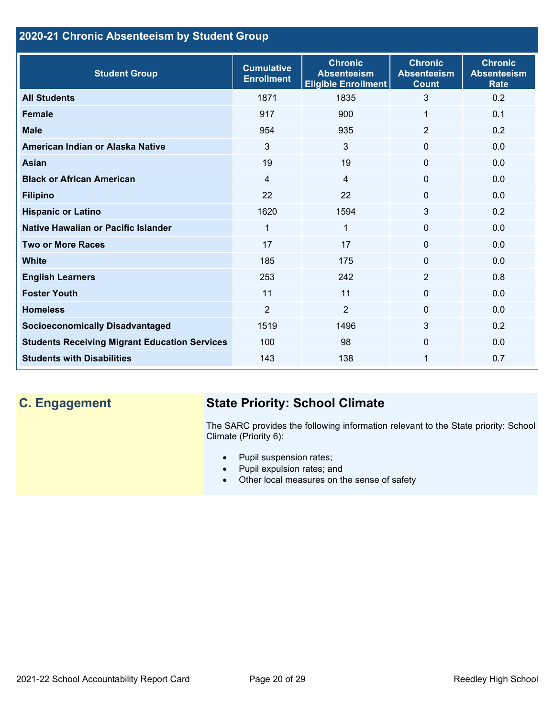### **2020-21 Chronic Absenteeism by Student Group**

| <b>Student Group</b>                                 | <b>Cumulative</b><br><b>Enrollment</b> | <b>Chronic</b><br><b>Absenteeism</b><br><b>Eligible Enrollment</b> | <b>Chronic</b><br><b>Absenteeism</b><br><b>Count</b> | <b>Chronic</b><br><b>Absenteeism</b><br><b>Rate</b> |
|------------------------------------------------------|----------------------------------------|--------------------------------------------------------------------|------------------------------------------------------|-----------------------------------------------------|
| <b>All Students</b>                                  | 1871                                   | 1835                                                               | 3                                                    | 0.2                                                 |
| <b>Female</b>                                        | 917                                    | 900                                                                | 1                                                    | 0.1                                                 |
| <b>Male</b>                                          | 954                                    | 935                                                                | $\overline{2}$                                       | 0.2                                                 |
| American Indian or Alaska Native                     | 3                                      | 3                                                                  | $\mathbf{0}$                                         | 0.0                                                 |
| <b>Asian</b>                                         | 19                                     | 19                                                                 | $\mathbf{0}$                                         | 0.0                                                 |
| <b>Black or African American</b>                     | $\overline{4}$                         | $\overline{4}$                                                     | $\mathbf{0}$                                         | 0.0                                                 |
| <b>Filipino</b>                                      | 22                                     | 22                                                                 | $\mathbf{0}$                                         | 0.0                                                 |
| <b>Hispanic or Latino</b>                            | 1620                                   | 1594                                                               | 3                                                    | 0.2                                                 |
| Native Hawaiian or Pacific Islander                  | 1                                      | $\mathbf{1}$                                                       | $\mathbf{0}$                                         | 0.0                                                 |
| <b>Two or More Races</b>                             | 17                                     | 17                                                                 | $\mathbf{0}$                                         | 0.0                                                 |
| <b>White</b>                                         | 185                                    | 175                                                                | 0                                                    | 0.0                                                 |
| <b>English Learners</b>                              | 253                                    | 242                                                                | 2                                                    | 0.8                                                 |
| <b>Foster Youth</b>                                  | 11                                     | 11                                                                 | $\Omega$                                             | 0.0                                                 |
| <b>Homeless</b>                                      | $\overline{2}$                         | $\overline{2}$                                                     | 0                                                    | 0.0                                                 |
| <b>Socioeconomically Disadvantaged</b>               | 1519                                   | 1496                                                               | 3                                                    | 0.2                                                 |
| <b>Students Receiving Migrant Education Services</b> | 100                                    | 98                                                                 | $\Omega$                                             | 0.0                                                 |
| <b>Students with Disabilities</b>                    | 143                                    | 138                                                                | 1                                                    | 0.7                                                 |

# **C. Engagement State Priority: School Climate**

The SARC provides the following information relevant to the State priority: School Climate (Priority 6):

- Pupil suspension rates;
- Pupil expulsion rates; and
- Other local measures on the sense of safety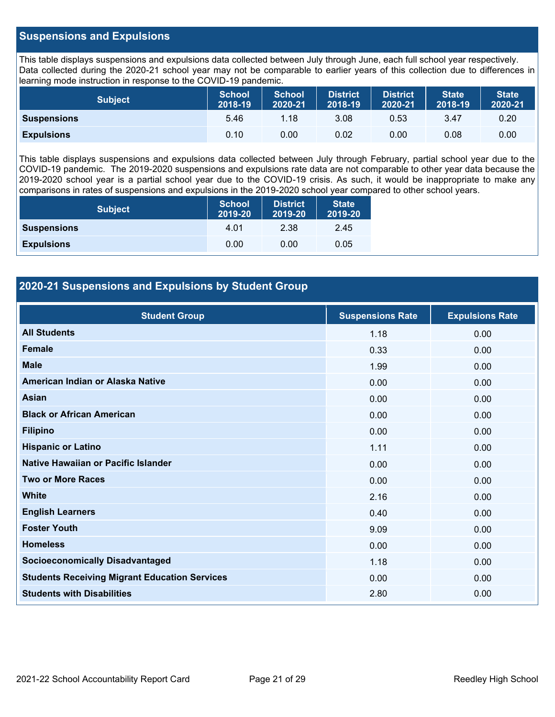#### **Suspensions and Expulsions**

This table displays suspensions and expulsions data collected between July through June, each full school year respectively. Data collected during the 2020-21 school year may not be comparable to earlier years of this collection due to differences in learning mode instruction in response to the COVID-19 pandemic.

| <b>Subject</b>     | <b>School</b><br>2018-19 | <b>School</b><br>2020-21 | <b>District</b><br>2018-19 | <b>District</b><br>2020-21 | <b>State</b><br>2018-19 | <b>State</b><br>2020-21 |
|--------------------|--------------------------|--------------------------|----------------------------|----------------------------|-------------------------|-------------------------|
| <b>Suspensions</b> | 5.46                     | 1.18                     | 3.08                       | 0.53                       | 3.47                    | 0.20                    |
| <b>Expulsions</b>  | 0.10                     | 0.00                     | 0.02                       | 0.00                       | 0.08                    | 0.00                    |

This table displays suspensions and expulsions data collected between July through February, partial school year due to the COVID-19 pandemic. The 2019-2020 suspensions and expulsions rate data are not comparable to other year data because the 2019-2020 school year is a partial school year due to the COVID-19 crisis. As such, it would be inappropriate to make any comparisons in rates of suspensions and expulsions in the 2019-2020 school year compared to other school years.

| <b>Subject</b>     | <b>School</b><br>2019-20 | <b>District</b><br>2019-20 | <b>State</b><br>2019-20 |
|--------------------|--------------------------|----------------------------|-------------------------|
| <b>Suspensions</b> | 4.01                     | 2.38                       | 2.45                    |
| <b>Expulsions</b>  | 0.00                     | 0.00                       | 0.05                    |

#### **2020-21 Suspensions and Expulsions by Student Group**

| <b>Student Group</b>                                 | <b>Suspensions Rate</b> | <b>Expulsions Rate</b> |
|------------------------------------------------------|-------------------------|------------------------|
| <b>All Students</b>                                  | 1.18                    | 0.00                   |
| <b>Female</b>                                        | 0.33                    | 0.00                   |
| <b>Male</b>                                          | 1.99                    | 0.00                   |
| American Indian or Alaska Native                     | 0.00                    | 0.00                   |
| <b>Asian</b>                                         | 0.00                    | 0.00                   |
| <b>Black or African American</b>                     | 0.00                    | 0.00                   |
| <b>Filipino</b>                                      | 0.00                    | 0.00                   |
| <b>Hispanic or Latino</b>                            | 1.11                    | 0.00                   |
| Native Hawaiian or Pacific Islander                  | 0.00                    | 0.00                   |
| <b>Two or More Races</b>                             | 0.00                    | 0.00                   |
| <b>White</b>                                         | 2.16                    | 0.00                   |
| <b>English Learners</b>                              | 0.40                    | 0.00                   |
| <b>Foster Youth</b>                                  | 9.09                    | 0.00                   |
| <b>Homeless</b>                                      | 0.00                    | 0.00                   |
| <b>Socioeconomically Disadvantaged</b>               | 1.18                    | 0.00                   |
| <b>Students Receiving Migrant Education Services</b> | 0.00                    | 0.00                   |
| <b>Students with Disabilities</b>                    | 2.80                    | 0.00                   |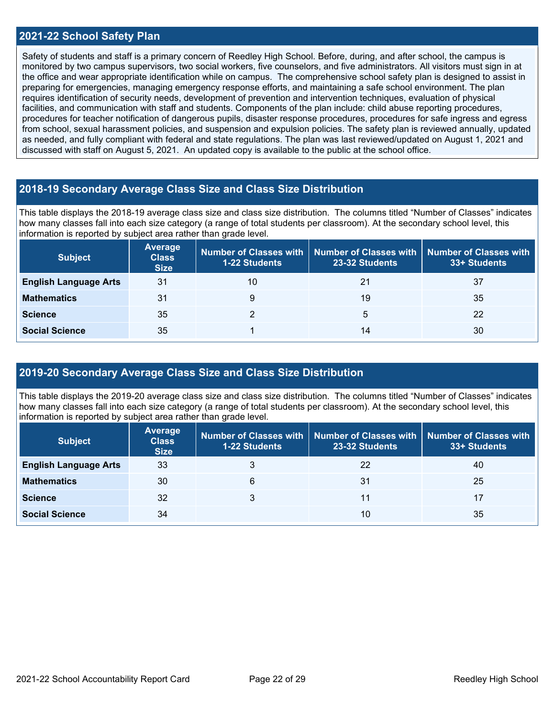#### **2021-22 School Safety Plan**

Safety of students and staff is a primary concern of Reedley High School. Before, during, and after school, the campus is monitored by two campus supervisors, two social workers, five counselors, and five administrators. All visitors must sign in at the office and wear appropriate identification while on campus. The comprehensive school safety plan is designed to assist in preparing for emergencies, managing emergency response efforts, and maintaining a safe school environment. The plan requires identification of security needs, development of prevention and intervention techniques, evaluation of physical facilities, and communication with staff and students. Components of the plan include: child abuse reporting procedures, procedures for teacher notification of dangerous pupils, disaster response procedures, procedures for safe ingress and egress from school, sexual harassment policies, and suspension and expulsion policies. The safety plan is reviewed annually, updated as needed, and fully compliant with federal and state regulations. The plan was last reviewed/updated on August 1, 2021 and discussed with staff on August 5, 2021. An updated copy is available to the public at the school office.

#### **2018-19 Secondary Average Class Size and Class Size Distribution**

This table displays the 2018-19 average class size and class size distribution. The columns titled "Number of Classes" indicates how many classes fall into each size category (a range of total students per classroom). At the secondary school level, this information is reported by subject area rather than grade level.

| <b>Subject</b>               | <b>Average</b><br><b>Class</b><br><b>Size</b> | <b>1-22 Students</b> | Number of Classes with   Number of Classes with<br>23-32 Students | Number of Classes with<br>33+ Students |
|------------------------------|-----------------------------------------------|----------------------|-------------------------------------------------------------------|----------------------------------------|
| <b>English Language Arts</b> | 31                                            | 10                   | 21                                                                | 37                                     |
| <b>Mathematics</b>           | 31                                            | 9                    | 19                                                                | 35                                     |
| <b>Science</b>               | 35                                            |                      | 5                                                                 | 22                                     |
| <b>Social Science</b>        | 35                                            |                      | 14                                                                | 30                                     |

#### **2019-20 Secondary Average Class Size and Class Size Distribution**

This table displays the 2019-20 average class size and class size distribution. The columns titled "Number of Classes" indicates how many classes fall into each size category (a range of total students per classroom). At the secondary school level, this information is reported by subject area rather than grade level.

| <b>Subject</b>               | <b>Average</b><br><b>Class</b><br><b>Size</b> | <b>1-22 Students</b> | Number of Classes with   Number of Classes with<br>23-32 Students | <b>Number of Classes with</b><br>33+ Students |
|------------------------------|-----------------------------------------------|----------------------|-------------------------------------------------------------------|-----------------------------------------------|
| <b>English Language Arts</b> | 33                                            |                      | 22                                                                | 40                                            |
| <b>Mathematics</b>           | 30                                            | 6                    | 31                                                                | 25                                            |
| <b>Science</b>               | 32                                            | 3                    | 11                                                                | 17                                            |
| <b>Social Science</b>        | 34                                            |                      | 10                                                                | 35                                            |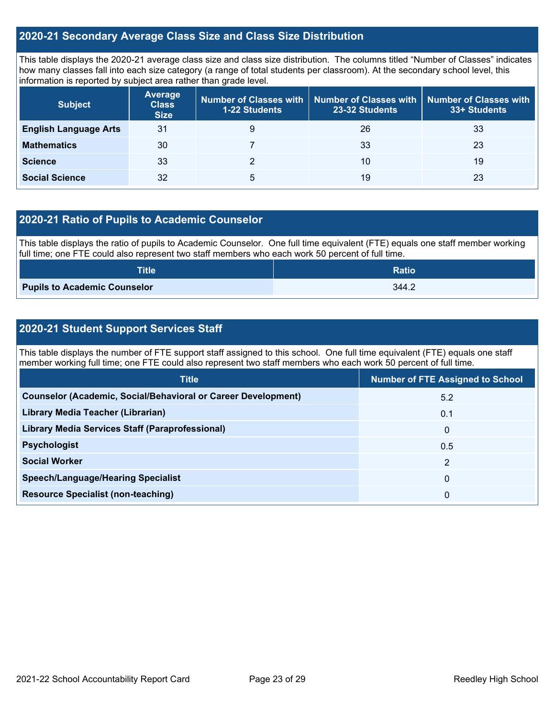#### **2020-21 Secondary Average Class Size and Class Size Distribution**

This table displays the 2020-21 average class size and class size distribution. The columns titled "Number of Classes" indicates how many classes fall into each size category (a range of total students per classroom). At the secondary school level, this information is reported by subject area rather than grade level.

| <b>Subject</b>               | <b>Average</b><br><b>Class</b><br><b>Size</b> | <b>1-22 Students</b> | Number of Classes with   Number of Classes with  <br>23-32 Students | Number of Classes with<br>33+ Students |
|------------------------------|-----------------------------------------------|----------------------|---------------------------------------------------------------------|----------------------------------------|
| <b>English Language Arts</b> | 31                                            | 9                    | 26                                                                  | 33                                     |
| <b>Mathematics</b>           | 30                                            |                      | 33                                                                  | 23                                     |
| <b>Science</b>               | 33                                            |                      | 10                                                                  | 19                                     |
| <b>Social Science</b>        | 32                                            | 5                    | 19                                                                  | 23                                     |

#### **2020-21 Ratio of Pupils to Academic Counselor**

This table displays the ratio of pupils to Academic Counselor. One full time equivalent (FTE) equals one staff member working full time; one FTE could also represent two staff members who each work 50 percent of full time.

| <b>Title</b>                        | <b>Ratio</b> |
|-------------------------------------|--------------|
| <b>Pupils to Academic Counselor</b> | 344.2        |

#### **2020-21 Student Support Services Staff**

This table displays the number of FTE support staff assigned to this school. One full time equivalent (FTE) equals one staff member working full time; one FTE could also represent two staff members who each work 50 percent of full time.

| <b>Number of FTE Assigned to School</b> |
|-----------------------------------------|
| 5.2                                     |
| 0.1                                     |
| $\mathbf{0}$                            |
| 0.5                                     |
| $\mathcal{P}$                           |
| $\mathbf{0}$                            |
| 0                                       |
|                                         |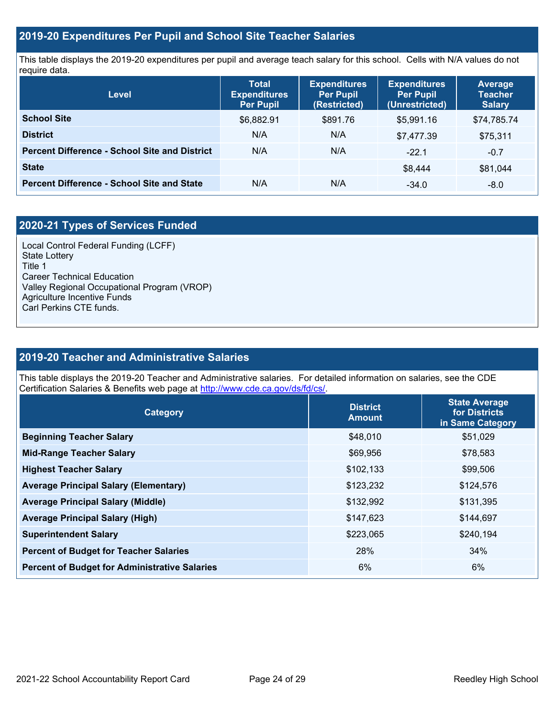#### **2019-20 Expenditures Per Pupil and School Site Teacher Salaries**

This table displays the 2019-20 expenditures per pupil and average teach salary for this school. Cells with N/A values do not require data.

| Level                                                | <b>Total</b><br><b>Expenditures</b><br><b>Per Pupil</b> | <b>Expenditures</b><br><b>Per Pupil</b><br>(Restricted) | <b>Expenditures</b><br><b>Per Pupil</b><br>(Unrestricted) | <b>Average</b><br><b>Teacher</b><br><b>Salary</b> |
|------------------------------------------------------|---------------------------------------------------------|---------------------------------------------------------|-----------------------------------------------------------|---------------------------------------------------|
| <b>School Site</b>                                   | \$6,882.91                                              | \$891.76                                                | \$5.991.16                                                | \$74,785.74                                       |
| <b>District</b>                                      | N/A                                                     | N/A                                                     | \$7,477.39                                                | \$75,311                                          |
| <b>Percent Difference - School Site and District</b> | N/A                                                     | N/A                                                     | $-22.1$                                                   | $-0.7$                                            |
| <b>State</b>                                         |                                                         |                                                         | \$8.444                                                   | \$81,044                                          |
| <b>Percent Difference - School Site and State</b>    | N/A                                                     | N/A                                                     | $-34.0$                                                   | $-8.0$                                            |

### **2020-21 Types of Services Funded**

Local Control Federal Funding (LCFF) State Lottery Title 1 Career Technical Education Valley Regional Occupational Program (VROP) Agriculture Incentive Funds Carl Perkins CTE funds.

#### **2019-20 Teacher and Administrative Salaries**

This table displays the 2019-20 Teacher and Administrative salaries. For detailed information on salaries, see the CDE Certification Salaries & Benefits web page at [http://www.cde.ca.gov/ds/fd/cs/.](http://www.cde.ca.gov/ds/fd/cs/)

| Category                                             | <b>District</b><br><b>Amount</b> | <b>State Average</b><br>for Districts<br>in Same Category |
|------------------------------------------------------|----------------------------------|-----------------------------------------------------------|
| <b>Beginning Teacher Salary</b>                      | \$48,010                         | \$51,029                                                  |
| <b>Mid-Range Teacher Salary</b>                      | \$69,956                         | \$78,583                                                  |
| <b>Highest Teacher Salary</b>                        | \$102,133                        | \$99,506                                                  |
| <b>Average Principal Salary (Elementary)</b>         | \$123,232                        | \$124,576                                                 |
| <b>Average Principal Salary (Middle)</b>             | \$132,992                        | \$131,395                                                 |
| <b>Average Principal Salary (High)</b>               | \$147,623                        | \$144,697                                                 |
| <b>Superintendent Salary</b>                         | \$223,065                        | \$240,194                                                 |
| <b>Percent of Budget for Teacher Salaries</b>        | 28%                              | 34%                                                       |
| <b>Percent of Budget for Administrative Salaries</b> | 6%                               | 6%                                                        |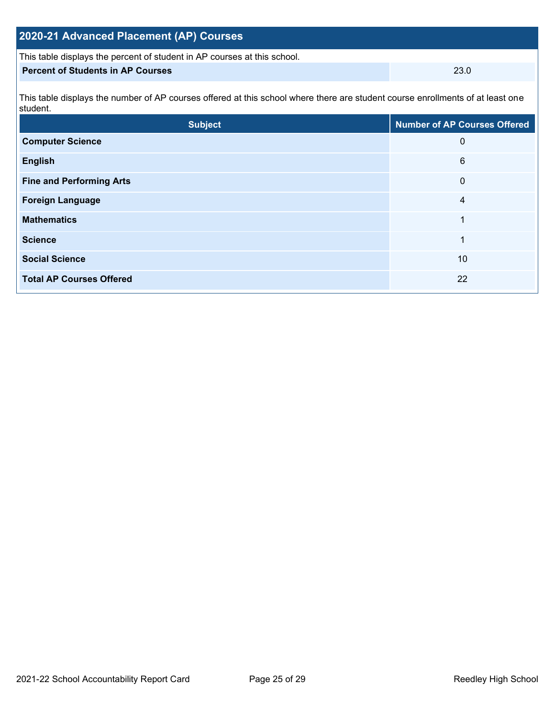| 2020-21 Advanced Placement (AP) Courses                                                                                                    |                                     |  |  |  |  |  |
|--------------------------------------------------------------------------------------------------------------------------------------------|-------------------------------------|--|--|--|--|--|
| This table displays the percent of student in AP courses at this school.                                                                   |                                     |  |  |  |  |  |
| <b>Percent of Students in AP Courses</b><br>23.0                                                                                           |                                     |  |  |  |  |  |
| This table displays the number of AP courses offered at this school where there are student course enrollments of at least one<br>student. |                                     |  |  |  |  |  |
| <b>Subject</b>                                                                                                                             | <b>Number of AP Courses Offered</b> |  |  |  |  |  |
| <b>Computer Science</b>                                                                                                                    | 0                                   |  |  |  |  |  |
| <b>English</b>                                                                                                                             | 6                                   |  |  |  |  |  |

**Fine and Performing Arts 0** 

**Foreign Language** 4

**Mathematics** 1

**Science** 1 **Social Science** 10

**Total AP Courses Offered** 22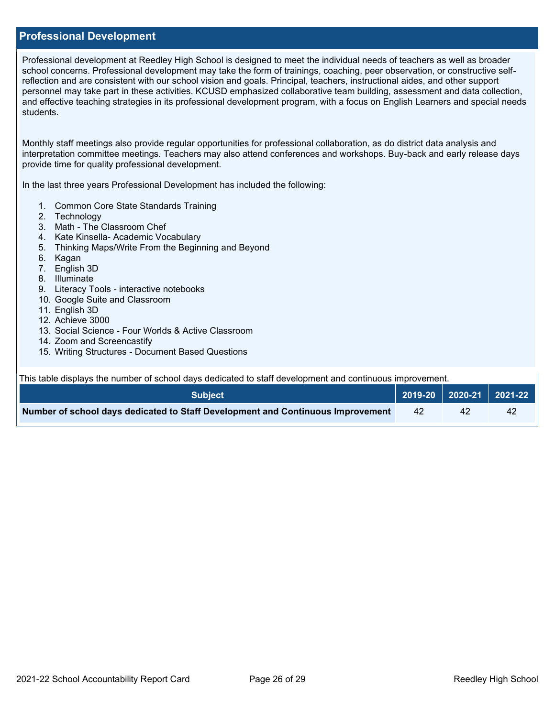#### **Professional Development**

Professional development at Reedley High School is designed to meet the individual needs of teachers as well as broader school concerns. Professional development may take the form of trainings, coaching, peer observation, or constructive selfreflection and are consistent with our school vision and goals. Principal, teachers, instructional aides, and other support personnel may take part in these activities. KCUSD emphasized collaborative team building, assessment and data collection, and effective teaching strategies in its professional development program, with a focus on English Learners and special needs students.

Monthly staff meetings also provide regular opportunities for professional collaboration, as do district data analysis and interpretation committee meetings. Teachers may also attend conferences and workshops. Buy-back and early release days provide time for quality professional development.

In the last three years Professional Development has included the following:

- 1. Common Core State Standards Training
- 2. Technology
- 3. Math The Classroom Chef
- 4. Kate Kinsella- Academic Vocabulary
- 5. Thinking Maps/Write From the Beginning and Beyond
- 6. Kagan
- 7. English 3D
- 8. Illuminate
- 9. Literacy Tools interactive notebooks
- 10. Google Suite and Classroom
- 11. English 3D
- 12. Achieve 3000
- 13. Social Science Four Worlds & Active Classroom
- 14. Zoom and Screencastify
- 15. Writing Structures Document Based Questions

This table displays the number of school days dedicated to staff development and continuous improvement.

| <b>Subject</b>                                                                  |    | 2019-20   2020-21   2021-22 |    |
|---------------------------------------------------------------------------------|----|-----------------------------|----|
| Number of school days dedicated to Staff Development and Continuous Improvement | 42 | 42                          | 42 |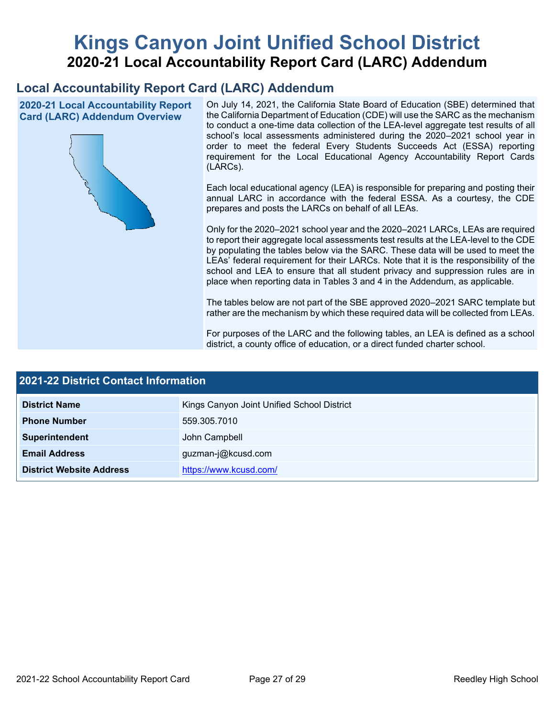# **Kings Canyon Joint Unified School District 2020-21 Local Accountability Report Card (LARC) Addendum**

## **Local Accountability Report Card (LARC) Addendum**

**2020-21 Local Accountability Report Card (LARC) Addendum Overview**



On July 14, 2021, the California State Board of Education (SBE) determined that the California Department of Education (CDE) will use the SARC as the mechanism to conduct a one-time data collection of the LEA-level aggregate test results of all school's local assessments administered during the 2020–2021 school year in order to meet the federal Every Students Succeeds Act (ESSA) reporting requirement for the Local Educational Agency Accountability Report Cards (LARCs).

Each local educational agency (LEA) is responsible for preparing and posting their annual LARC in accordance with the federal ESSA. As a courtesy, the CDE prepares and posts the LARCs on behalf of all LEAs.

Only for the 2020–2021 school year and the 2020–2021 LARCs, LEAs are required to report their aggregate local assessments test results at the LEA-level to the CDE by populating the tables below via the SARC. These data will be used to meet the LEAs' federal requirement for their LARCs. Note that it is the responsibility of the school and LEA to ensure that all student privacy and suppression rules are in place when reporting data in Tables 3 and 4 in the Addendum, as applicable.

The tables below are not part of the SBE approved 2020–2021 SARC template but rather are the mechanism by which these required data will be collected from LEAs.

For purposes of the LARC and the following tables, an LEA is defined as a school district, a county office of education, or a direct funded charter school.

| <b>2021-22 District Contact Information</b> |                                            |  |  |  |
|---------------------------------------------|--------------------------------------------|--|--|--|
| <b>District Name</b>                        | Kings Canyon Joint Unified School District |  |  |  |
| <b>Phone Number</b>                         | 559.305.7010                               |  |  |  |
| Superintendent                              | John Campbell                              |  |  |  |
| <b>Email Address</b>                        | guzman-j@kcusd.com                         |  |  |  |
| <b>District Website Address</b>             | https://www.kcusd.com/                     |  |  |  |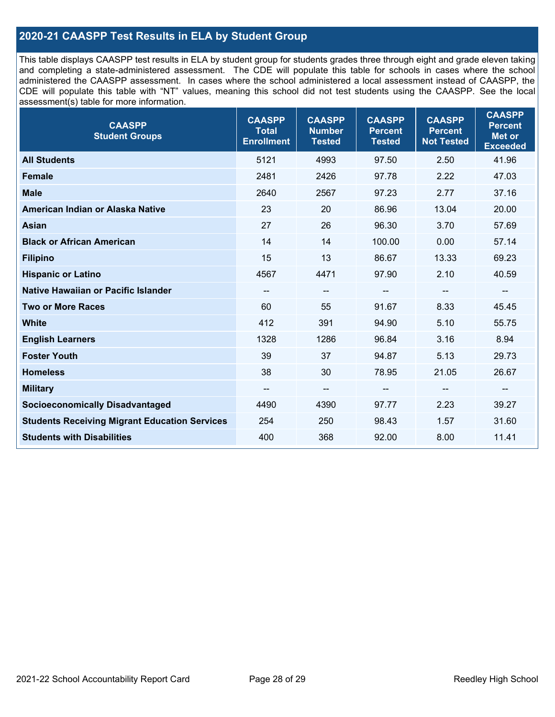#### **2020-21 CAASPP Test Results in ELA by Student Group**

This table displays CAASPP test results in ELA by student group for students grades three through eight and grade eleven taking and completing a state-administered assessment. The CDE will populate this table for schools in cases where the school administered the CAASPP assessment. In cases where the school administered a local assessment instead of CAASPP, the CDE will populate this table with "NT" values, meaning this school did not test students using the CAASPP. See the local assessment(s) table for more information.

| <b>CAASPP</b><br><b>Student Groups</b>               | <b>CAASPP</b><br><b>Total</b><br><b>Enrollment</b> | <b>CAASPP</b><br><b>Number</b><br><b>Tested</b> | <b>CAASPP</b><br><b>Percent</b><br><b>Tested</b> | <b>CAASPP</b><br><b>Percent</b><br><b>Not Tested</b> | <b>CAASPP</b><br><b>Percent</b><br><b>Met or</b><br><b>Exceeded</b> |
|------------------------------------------------------|----------------------------------------------------|-------------------------------------------------|--------------------------------------------------|------------------------------------------------------|---------------------------------------------------------------------|
| <b>All Students</b>                                  | 5121                                               | 4993                                            | 97.50                                            | 2.50                                                 | 41.96                                                               |
| <b>Female</b>                                        | 2481                                               | 2426                                            | 97.78                                            | 2.22                                                 | 47.03                                                               |
| <b>Male</b>                                          | 2640                                               | 2567                                            | 97.23                                            | 2.77                                                 | 37.16                                                               |
| American Indian or Alaska Native                     | 23                                                 | 20                                              | 86.96                                            | 13.04                                                | 20.00                                                               |
| <b>Asian</b>                                         | 27                                                 | 26                                              | 96.30                                            | 3.70                                                 | 57.69                                                               |
| <b>Black or African American</b>                     | 14                                                 | 14                                              | 100.00                                           | 0.00                                                 | 57.14                                                               |
| <b>Filipino</b>                                      | 15                                                 | 13                                              | 86.67                                            | 13.33                                                | 69.23                                                               |
| <b>Hispanic or Latino</b>                            | 4567                                               | 4471                                            | 97.90                                            | 2.10                                                 | 40.59                                                               |
| Native Hawaiian or Pacific Islander                  | --                                                 | $\overline{\phantom{a}}$                        | --                                               | $\overline{\phantom{a}}$                             | $\overline{\phantom{a}}$                                            |
| <b>Two or More Races</b>                             | 60                                                 | 55                                              | 91.67                                            | 8.33                                                 | 45.45                                                               |
| <b>White</b>                                         | 412                                                | 391                                             | 94.90                                            | 5.10                                                 | 55.75                                                               |
| <b>English Learners</b>                              | 1328                                               | 1286                                            | 96.84                                            | 3.16                                                 | 8.94                                                                |
| <b>Foster Youth</b>                                  | 39                                                 | 37                                              | 94.87                                            | 5.13                                                 | 29.73                                                               |
| <b>Homeless</b>                                      | 38                                                 | 30                                              | 78.95                                            | 21.05                                                | 26.67                                                               |
| <b>Military</b>                                      | --                                                 | --                                              | --                                               | --                                                   | --                                                                  |
| <b>Socioeconomically Disadvantaged</b>               | 4490                                               | 4390                                            | 97.77                                            | 2.23                                                 | 39.27                                                               |
| <b>Students Receiving Migrant Education Services</b> | 254                                                | 250                                             | 98.43                                            | 1.57                                                 | 31.60                                                               |
| <b>Students with Disabilities</b>                    | 400                                                | 368                                             | 92.00                                            | 8.00                                                 | 11.41                                                               |